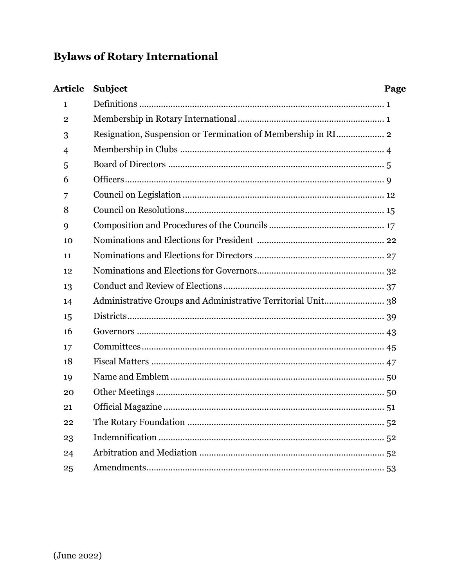# **Bylaws of Rotary International**

| <b>Article</b> | <b>Subject</b>                                               | Page |
|----------------|--------------------------------------------------------------|------|
| 1              |                                                              |      |
| $\overline{2}$ |                                                              |      |
| 3              | Resignation, Suspension or Termination of Membership in RI 2 |      |
| 4              |                                                              |      |
| 5              |                                                              |      |
| 6              |                                                              |      |
| 7              |                                                              |      |
| 8              |                                                              |      |
| 9              |                                                              |      |
| 10             |                                                              |      |
| 11             |                                                              |      |
| 12             |                                                              |      |
| 13             |                                                              |      |
| 14             | Administrative Groups and Administrative Territorial Unit 38 |      |
| 15             |                                                              |      |
| 16             |                                                              |      |
| 17             |                                                              |      |
| 18             |                                                              |      |
| 19             |                                                              |      |
| 20             |                                                              |      |
| 21             |                                                              |      |
| 22             |                                                              |      |
| 23             |                                                              |      |
| 24             |                                                              |      |
| 25             |                                                              |      |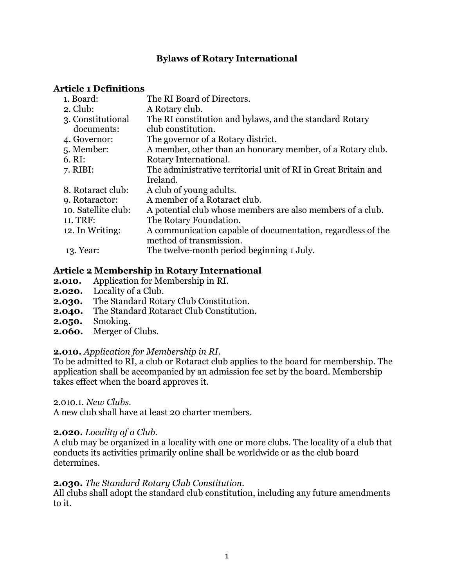# **Bylaws of Rotary International**

# **Article 1 Definitions**

| 1. Board:           | The RI Board of Directors.                                                             |
|---------------------|----------------------------------------------------------------------------------------|
| $2.$ Club:          | A Rotary club.                                                                         |
| 3. Constitutional   | The RI constitution and bylaws, and the standard Rotary                                |
| documents:          | club constitution.                                                                     |
| 4. Governor:        | The governor of a Rotary district.                                                     |
| 5. Member:          | A member, other than an honorary member, of a Rotary club.                             |
| $6. \mathrm{RI}:$   | Rotary International.                                                                  |
| $7.$ RIBI:          | The administrative territorial unit of RI in Great Britain and                         |
|                     | Ireland.                                                                               |
| 8. Rotaract club:   | A club of young adults.                                                                |
| 9. Rotaractor:      | A member of a Rotaract club.                                                           |
| 10. Satellite club: | A potential club whose members are also members of a club.                             |
| 11. TRF:            | The Rotary Foundation.                                                                 |
| 12. In Writing:     | A communication capable of documentation, regardless of the<br>method of transmission. |
| 13. Year:           | The twelve-month period beginning 1 July.                                              |
|                     |                                                                                        |

# **Article 2 Membership in Rotary International**

- **2.010.** Application for Membership in RI.
- **2.020.** Locality of a Club.
- **2.030.** The Standard Rotary Club Constitution.
- **2.040.** The Standard Rotaract Club Constitution.
- **2.050.** Smoking.
- **2.060.** Merger of Clubs.

# **2.010.** *Application for Membership in RI.*

To be admitted to RI, a club or Rotaract club applies to the board for membership. The application shall be accompanied by an admission fee set by the board. Membership takes effect when the board approves it.

2.010.1. *New Clubs.*

A new club shall have at least 20 charter members.

# **2.020.** *Locality of a Club.*

A club may be organized in a locality with one or more clubs. The locality of a club that conducts its activities primarily online shall be worldwide or as the club board determines.

# **2.030.** *The Standard Rotary Club Constitution.*

All clubs shall adopt the standard club constitution, including any future amendments to it.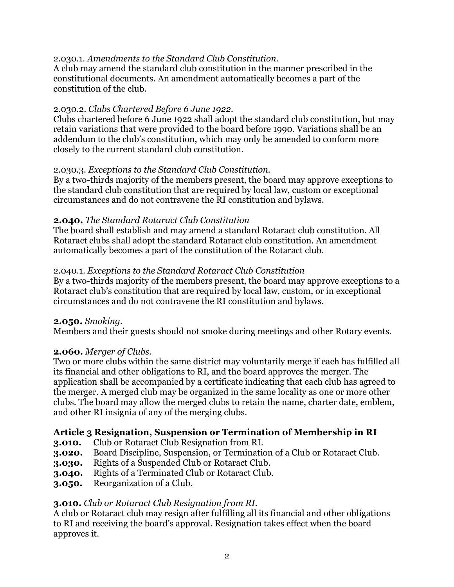# 2.030.1. *Amendments to the Standard Club Constitution.*

A club may amend the standard club constitution in the manner prescribed in the constitutional documents. An amendment automatically becomes a part of the constitution of the club.

### 2.030.2. *Clubs Chartered Before 6 June 1922.*

Clubs chartered before 6 June 1922 shall adopt the standard club constitution, but may retain variations that were provided to the board before 1990. Variations shall be an addendum to the club's constitution, which may only be amended to conform more closely to the current standard club constitution.

# 2.030.3. *Exceptions to the Standard Club Constitution.*

By a two-thirds majority of the members present, the board may approve exceptions to the standard club constitution that are required by local law, custom or exceptional circumstances and do not contravene the RI constitution and bylaws.

### **2.040.** *The Standard Rotaract Club Constitution*

The board shall establish and may amend a standard Rotaract club constitution. All Rotaract clubs shall adopt the standard Rotaract club constitution. An amendment automatically becomes a part of the constitution of the Rotaract club.

### 2.040.1. *Exceptions to the Standard Rotaract Club Constitution*

By a two-thirds majority of the members present, the board may approve exceptions to a Rotaract club's constitution that are required by local law, custom, or in exceptional circumstances and do not contravene the RI constitution and bylaws.

### **2.050.** *Smoking.*

Members and their guests should not smoke during meetings and other Rotary events.

### **2.060.** *Merger of Clubs.*

Two or more clubs within the same district may voluntarily merge if each has fulfilled all its financial and other obligations to RI, and the board approves the merger. The application shall be accompanied by a certificate indicating that each club has agreed to the merger. A merged club may be organized in the same locality as one or more other clubs. The board may allow the merged clubs to retain the name, charter date, emblem, and other RI insignia of any of the merging clubs.

# **Article 3 Resignation, Suspension or Termination of Membership in RI**

- **3.010.** Club or Rotaract Club Resignation from RI.
- **3.020.** Board Discipline, Suspension, or Termination of a Club or Rotaract Club.
- **3.030.** Rights of a Suspended Club or Rotaract Club.
- **3.040.** Rights of a Terminated Club or Rotaract Club.
- **3.050.** Reorganization of a Club.

# **3.010.** *Club or Rotaract Club Resignation from RI.*

A club or Rotaract club may resign after fulfilling all its financial and other obligations to RI and receiving the board's approval. Resignation takes effect when the board approves it.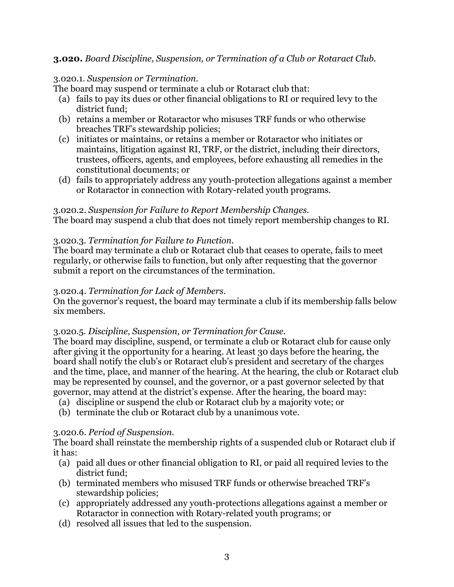# **3.020.** *Board Discipline, Suspension, or Termination of a Club or Rotaract Club.*

### 3.020.1. *Suspension or Termination.*

The board may suspend or terminate a club or Rotaract club that:

- (a) fails to pay its dues or other financial obligations to RI or required levy to the district fund;
- (b) retains a member or Rotaractor who misuses TRF funds or who otherwise breaches TRF's stewardship policies;
- (c) initiates or maintains, or retains a member or Rotaractor who initiates or maintains, litigation against RI, TRF, or the district, including their directors, trustees, officers, agents, and employees, before exhausting all remedies in the constitutional documents; or
- (d) fails to appropriately address any youth-protection allegations against a member or Rotaractor in connection with Rotary-related youth programs.

# 3.020.2. *Suspension for Failure to Report Membership Changes.*

The board may suspend a club that does not timely report membership changes to RI.

# 3.020.3. *Termination for Failure to Function.*

The board may terminate a club or Rotaract club that ceases to operate, fails to meet regularly, or otherwise fails to function, but only after requesting that the governor submit a report on the circumstances of the termination.

### 3.020.4. *Termination for Lack of Members.*

On the governor's request, the board may terminate a club if its membership falls below six members.

# 3.020.5. *Discipline, Suspension, or Termination for Cause.*

The board may discipline, suspend, or terminate a club or Rotaract club for cause only after giving it the opportunity for a hearing. At least 30 days before the hearing, the board shall notify the club's or Rotaract club's president and secretary of the charges and the time, place, and manner of the hearing. At the hearing, the club or Rotaract club may be represented by counsel, and the governor, or a past governor selected by that governor, may attend at the district's expense. After the hearing, the board may:

- (a) discipline or suspend the club or Rotaract club by a majority vote; or
- (b) terminate the club or Rotaract club by a unanimous vote.

### 3.020.6. *Period of Suspension.*

The board shall reinstate the membership rights of a suspended club or Rotaract club if it has:

- (a) paid all dues or other financial obligation to RI, or paid all required levies to the district fund;
- (b) terminated members who misused TRF funds or otherwise breached TRF's stewardship policies;
- (c) appropriately addressed any youth-protections allegations against a member or Rotaractor in connection with Rotary-related youth programs; or
- (d) resolved all issues that led to the suspension.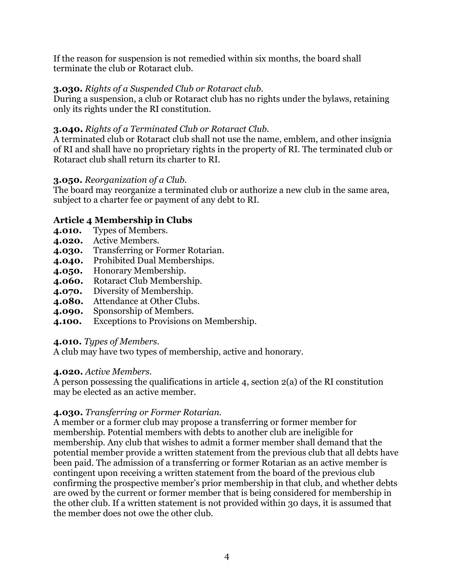If the reason for suspension is not remedied within six months, the board shall terminate the club or Rotaract club.

# **3.030.** *Rights of a Suspended Club or Rotaract club.*

During a suspension, a club or Rotaract club has no rights under the bylaws, retaining only its rights under the RI constitution.

# **3.040.** *Rights of a Terminated Club or Rotaract Club.*

A terminated club or Rotaract club shall not use the name, emblem, and other insignia of RI and shall have no proprietary rights in the property of RI. The terminated club or Rotaract club shall return its charter to RI.

# **3.050.** *Reorganization of a Club.*

The board may reorganize a terminated club or authorize a new club in the same area, subject to a charter fee or payment of any debt to RI.

# **Article 4 Membership in Clubs**

- **4.010.** Types of Members.
- **4.020.** Active Members.
- **4.030.** Transferring or Former Rotarian.
- **4.040.** Prohibited Dual Memberships.
- **4.050.** Honorary Membership.
- **4.060.** Rotaract Club Membership.
- **4.070.** Diversity of Membership.
- **4.080.** Attendance at Other Clubs.
- **4.090.** Sponsorship of Members.
- **4.100.** Exceptions to Provisions on Membership.

### **4.010.** *Types of Members.*

A club may have two types of membership, active and honorary.

### **4.020.** *Active Members.*

A person possessing the qualifications in article 4, section 2(a) of the RI constitution may be elected as an active member.

# **4.030.** *Transferring or Former Rotarian.*

A member or a former club may propose a transferring or former member for membership. Potential members with debts to another club are ineligible for membership. Any club that wishes to admit a former member shall demand that the potential member provide a written statement from the previous club that all debts have been paid. The admission of a transferring or former Rotarian as an active member is contingent upon receiving a written statement from the board of the previous club confirming the prospective member's prior membership in that club, and whether debts are owed by the current or former member that is being considered for membership in the other club. If a written statement is not provided within 30 days, it is assumed that the member does not owe the other club.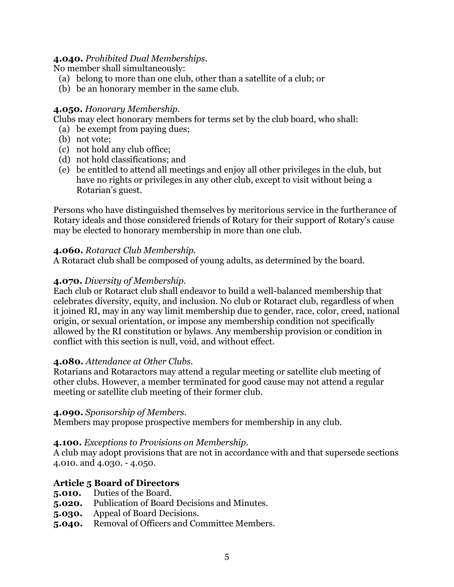### **4.040.** *Prohibited Dual Memberships.*

No member shall simultaneously:

- (a) belong to more than one club, other than a satellite of a club; or
- (b) be an honorary member in the same club.

# **4.050.** *Honorary Membership.*

Clubs may elect honorary members for terms set by the club board, who shall:

- (a) be exempt from paying dues;
- (b) not vote;
- (c) not hold any club office;
- (d) not hold classifications; and
- (e) be entitled to attend all meetings and enjoy all other privileges in the club, but have no rights or privileges in any other club, except to visit without being a Rotarian's guest.

Persons who have distinguished themselves by meritorious service in the furtherance of Rotary ideals and those considered friends of Rotary for their support of Rotary's cause may be elected to honorary membership in more than one club.

# **4.060.** *Rotaract Club Membership.*

A Rotaract club shall be composed of young adults, as determined by the board.

# **4.070.** *Diversity of Membership.*

Each club or Rotaract club shall endeavor to build a well-balanced membership that celebrates diversity, equity, and inclusion. No club or Rotaract club, regardless of when it joined RI, may in any way limit membership due to gender, race, color, creed, national origin, or sexual orientation, or impose any membership condition not specifically allowed by the RI constitution or bylaws. Any membership provision or condition in conflict with this section is null, void, and without effect.

### **4.080.** *Attendance at Other Clubs.*

Rotarians and Rotaractors may attend a regular meeting or satellite club meeting of other clubs. However, a member terminated for good cause may not attend a regular meeting or satellite club meeting of their former club.

### **4.090.** *Sponsorship of Members.*

Members may propose prospective members for membership in any club.

### **4.100.** *Exceptions to Provisions on Membership.*

A club may adopt provisions that are not in accordance with and that supersede sections 4.010. and 4.030. - 4.050.

# **Article 5 Board of Directors**

- **5.010.** Duties of the Board.
- **5.020.** Publication of Board Decisions and Minutes.
- **5.030.** Appeal of Board Decisions.
- **5.040.** Removal of Officers and Committee Members.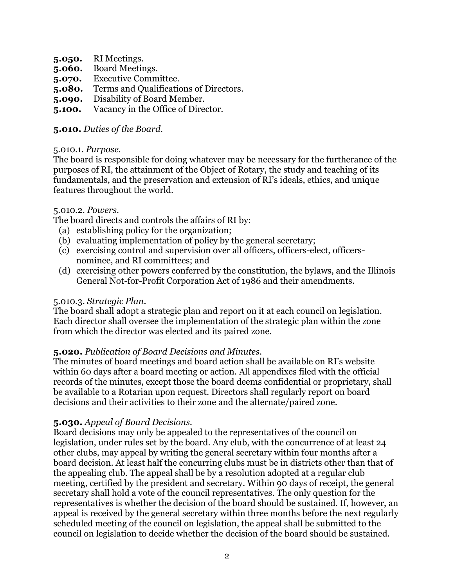- **5.050.** RI Meetings.
- **5.060.** Board Meetings.
- **5.070.** Executive Committee.
- **5.080.** Terms and Qualifications of Directors.
- **5.090.** Disability of Board Member.
- **5.100.** Vacancy in the Office of Director.

#### **5.010.** *Duties of the Board.*

#### 5.010.1. *Purpose.*

The board is responsible for doing whatever may be necessary for the furtherance of the purposes of RI, the attainment of the Object of Rotary, the study and teaching of its fundamentals, and the preservation and extension of RI's ideals, ethics, and unique features throughout the world.

#### 5.010.2. *Powers.*

The board directs and controls the affairs of RI by:

- (a) establishing policy for the organization;
- (b) evaluating implementation of policy by the general secretary;
- (c) exercising control and supervision over all officers, officers-elect, officersnominee, and RI committees; and
- (d) exercising other powers conferred by the constitution, the bylaws, and the Illinois General Not-for-Profit Corporation Act of 1986 and their amendments.

### 5.010.3. *Strategic Plan.*

The board shall adopt a strategic plan and report on it at each council on legislation. Each director shall oversee the implementation of the strategic plan within the zone from which the director was elected and its paired zone.

### **5.020.** *Publication of Board Decisions and Minutes.*

The minutes of board meetings and board action shall be available on RI's website within 60 days after a board meeting or action. All appendixes filed with the official records of the minutes, except those the board deems confidential or proprietary, shall be available to a Rotarian upon request. Directors shall regularly report on board decisions and their activities to their zone and the alternate/paired zone.

#### **5.030.** *Appeal of Board Decisions.*

Board decisions may only be appealed to the representatives of the council on legislation, under rules set by the board. Any club, with the concurrence of at least 24 other clubs, may appeal by writing the general secretary within four months after a board decision. At least half the concurring clubs must be in districts other than that of the appealing club. The appeal shall be by a resolution adopted at a regular club meeting, certified by the president and secretary. Within 90 days of receipt, the general secretary shall hold a vote of the council representatives. The only question for the representatives is whether the decision of the board should be sustained. If, however, an appeal is received by the general secretary within three months before the next regularly scheduled meeting of the council on legislation, the appeal shall be submitted to the council on legislation to decide whether the decision of the board should be sustained.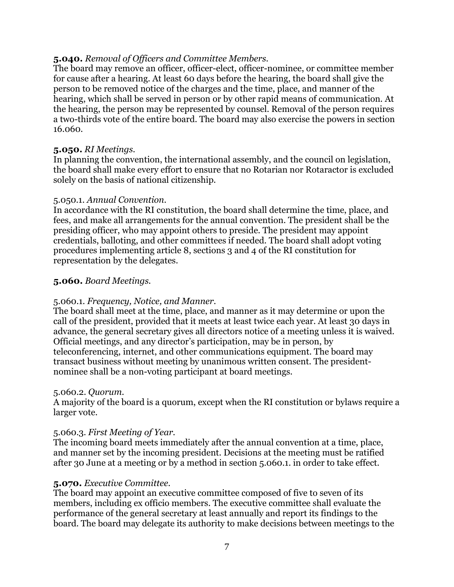### **5.040.** *Removal of Officers and Committee Members.*

The board may remove an officer, officer-elect, officer-nominee, or committee member for cause after a hearing. At least 60 days before the hearing, the board shall give the person to be removed notice of the charges and the time, place, and manner of the hearing, which shall be served in person or by other rapid means of communication. At the hearing, the person may be represented by counsel. Removal of the person requires a two-thirds vote of the entire board. The board may also exercise the powers in section 16.060.

### **5.050.** *RI Meetings.*

In planning the convention, the international assembly, and the council on legislation, the board shall make every effort to ensure that no Rotarian nor Rotaractor is excluded solely on the basis of national citizenship.

### 5.050.1. *Annual Convention.*

In accordance with the RI constitution, the board shall determine the time, place, and fees, and make all arrangements for the annual convention. The president shall be the presiding officer, who may appoint others to preside. The president may appoint credentials, balloting, and other committees if needed. The board shall adopt voting procedures implementing article 8, sections 3 and 4 of the RI constitution for representation by the delegates.

# **5.060.** *Board Meetings.*

### 5.060.1. *Frequency, Notice, and Manner.*

The board shall meet at the time, place, and manner as it may determine or upon the call of the president, provided that it meets at least twice each year. At least 30 days in advance, the general secretary gives all directors notice of a meeting unless it is waived. Official meetings, and any director's participation, may be in person, by teleconferencing, internet, and other communications equipment. The board may transact business without meeting by unanimous written consent. The presidentnominee shall be a non-voting participant at board meetings.

### 5.060.2. *Quorum.*

A majority of the board is a quorum, except when the RI constitution or bylaws require a larger vote.

### 5.060.3. *First Meeting of Year.*

The incoming board meets immediately after the annual convention at a time, place, and manner set by the incoming president. Decisions at the meeting must be ratified after 30 June at a meeting or by a method in section 5.060.1. in order to take effect.

### **5.070.** *Executive Committee.*

The board may appoint an executive committee composed of five to seven of its members, including ex officio members. The executive committee shall evaluate the performance of the general secretary at least annually and report its findings to the board. The board may delegate its authority to make decisions between meetings to the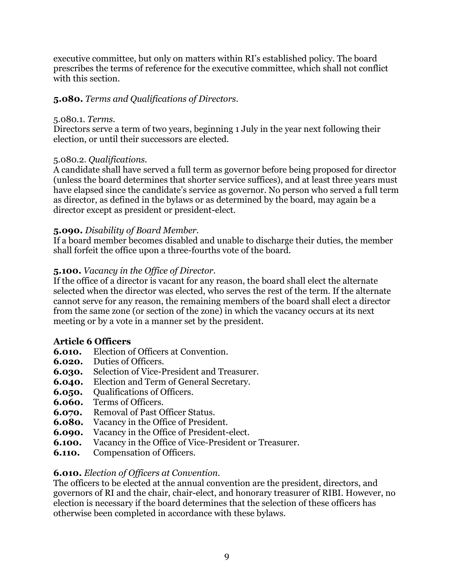executive committee, but only on matters within RI's established policy. The board prescribes the terms of reference for the executive committee, which shall not conflict with this section.

# **5.080.** *Terms and Qualifications of Directors*.

#### 5.080.1. *Terms.*

Directors serve a term of two years, beginning 1 July in the year next following their election, or until their successors are elected.

### 5.080.2. *Qualifications.*

A candidate shall have served a full term as governor before being proposed for director (unless the board determines that shorter service suffices), and at least three years must have elapsed since the candidate's service as governor. No person who served a full term as director, as defined in the bylaws or as determined by the board, may again be a director except as president or president-elect.

# **5.090.** *Disability of Board Member.*

If a board member becomes disabled and unable to discharge their duties, the member shall forfeit the office upon a three-fourths vote of the board.

# **5.100.** *Vacancy in the Office of Director.*

If the office of a director is vacant for any reason, the board shall elect the alternate selected when the director was elected, who serves the rest of the term. If the alternate cannot serve for any reason, the remaining members of the board shall elect a director from the same zone (or section of the zone) in which the vacancy occurs at its next meeting or by a vote in a manner set by the president.

### **Article 6 Officers**

- **6.010.** Election of Officers at Convention.
- **6.020.** Duties of Officers.
- **6.030.** Selection of Vice-President and Treasurer.
- **6.040.** Election and Term of General Secretary.
- **6.050.** Oualifications of Officers.
- **6.060.** Terms of Officers.
- **6.070.** Removal of Past Officer Status.
- **6.080.** Vacancy in the Office of President.
- **6.090.** Vacancy in the Office of President-elect.
- **6.100.** Vacancy in the Office of Vice-President or Treasurer.
- **6.110.** Compensation of Officers.

# **6.010.** *Election of Officers at Convention.*

The officers to be elected at the annual convention are the president, directors, and governors of RI and the chair, chair-elect, and honorary treasurer of RIBI. However, no election is necessary if the board determines that the selection of these officers has otherwise been completed in accordance with these bylaws.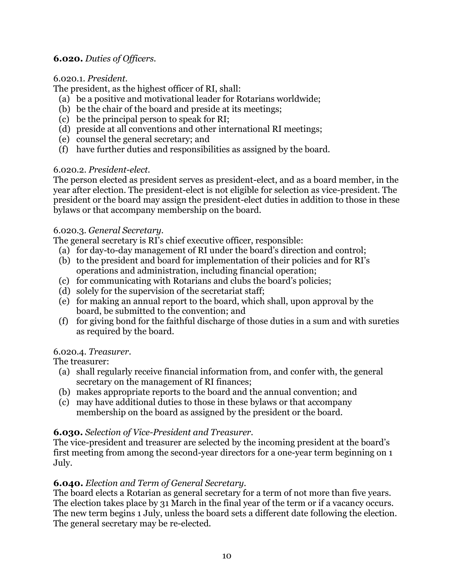# **6.020.** *Duties of Officers.*

### 6.020.1. *President.*

The president, as the highest officer of RI, shall:

- (a) be a positive and motivational leader for Rotarians worldwide;
- (b) be the chair of the board and preside at its meetings;
- (c) be the principal person to speak for RI;
- (d) preside at all conventions and other international RI meetings;
- (e) counsel the general secretary; and
- (f) have further duties and responsibilities as assigned by the board.

# 6.020.2. *President-elect.*

The person elected as president serves as president-elect, and as a board member, in the year after election. The president-elect is not eligible for selection as vice-president. The president or the board may assign the president-elect duties in addition to those in these bylaws or that accompany membership on the board.

# 6.020.3. *General Secretary.*

The general secretary is RI's chief executive officer, responsible:

- (a) for day-to-day management of RI under the board's direction and control;
- (b) to the president and board for implementation of their policies and for RI's operations and administration, including financial operation;
- (c) for communicating with Rotarians and clubs the board's policies;
- (d) solely for the supervision of the secretariat staff;
- (e) for making an annual report to the board, which shall, upon approval by the board, be submitted to the convention; and
- (f) for giving bond for the faithful discharge of those duties in a sum and with sureties as required by the board.

# 6.020.4. *Treasurer.*

The treasurer:

- (a) shall regularly receive financial information from, and confer with, the general secretary on the management of RI finances;
- (b) makes appropriate reports to the board and the annual convention; and
- (c) may have additional duties to those in these bylaws or that accompany membership on the board as assigned by the president or the board.

# **6.030.** *Selection of Vice-President and Treasurer.*

The vice-president and treasurer are selected by the incoming president at the board's first meeting from among the second-year directors for a one-year term beginning on 1 July.

# **6.040.** *Election and Term of General Secretary.*

The board elects a Rotarian as general secretary for a term of not more than five years. The election takes place by 31 March in the final year of the term or if a vacancy occurs. The new term begins 1 July, unless the board sets a different date following the election. The general secretary may be re-elected.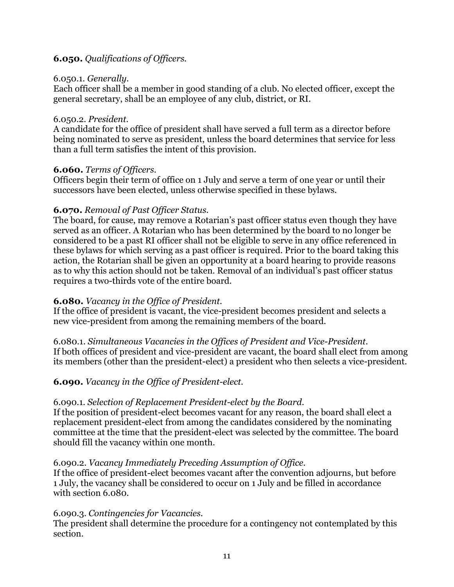# **6.050.** *Qualifications of Officers.*

### 6.050.1. *Generally.*

Each officer shall be a member in good standing of a club. No elected officer, except the general secretary, shall be an employee of any club, district, or RI.

### 6.050.2. *President.*

A candidate for the office of president shall have served a full term as a director before being nominated to serve as president, unless the board determines that service for less than a full term satisfies the intent of this provision.

### **6.060.** *Terms of Officers.*

Officers begin their term of office on 1 July and serve a term of one year or until their successors have been elected, unless otherwise specified in these bylaws.

# **6.070.** *Removal of Past Officer Status.*

The board, for cause, may remove a Rotarian's past officer status even though they have served as an officer. A Rotarian who has been determined by the board to no longer be considered to be a past RI officer shall not be eligible to serve in any office referenced in these bylaws for which serving as a past officer is required. Prior to the board taking this action, the Rotarian shall be given an opportunity at a board hearing to provide reasons as to why this action should not be taken. Removal of an individual's past officer status requires a two-thirds vote of the entire board.

### **6.080.** *Vacancy in the Office of President.*

If the office of president is vacant, the vice-president becomes president and selects a new vice-president from among the remaining members of the board.

6.080.1. *Simultaneous Vacancies in the Offices of President and Vice-President.* If both offices of president and vice-president are vacant, the board shall elect from among its members (other than the president-elect) a president who then selects a vice-president.

# **6.090.** *Vacancy in the Office of President-elect.*

### 6.090.1*. Selection of Replacement President-elect by the Board.*

If the position of president-elect becomes vacant for any reason, the board shall elect a replacement president-elect from among the candidates considered by the nominating committee at the time that the president-elect was selected by the committee. The board should fill the vacancy within one month.

### 6.090.2. *Vacancy Immediately Preceding Assumption of Office.*

If the office of president-elect becomes vacant after the convention adjourns, but before 1 July, the vacancy shall be considered to occur on 1 July and be filled in accordance with section 6.080.

### 6.090.3. *Contingencies for Vacancies.*

The president shall determine the procedure for a contingency not contemplated by this section.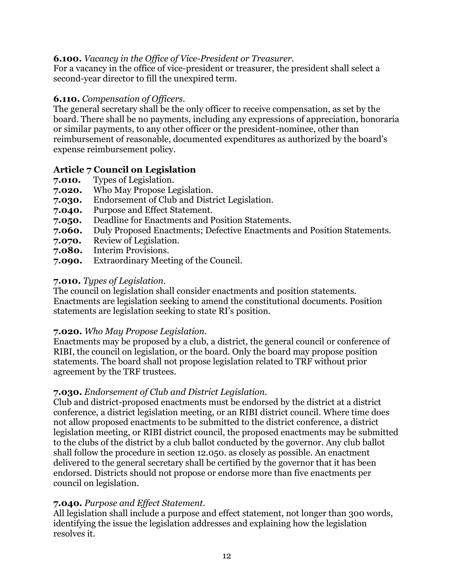# **6.100.** *Vacancy in the Office of Vice*-*President or Treasurer.*

For a vacancy in the office of vice-president or treasurer, the president shall select a second-year director to fill the unexpired term.

# **6.110.** *Compensation of Officers.*

The general secretary shall be the only officer to receive compensation, as set by the board. There shall be no payments, including any expressions of appreciation, honoraria or similar payments, to any other officer or the president-nominee, other than reimbursement of reasonable, documented expenditures as authorized by the board's expense reimbursement policy.

# **Article 7 Council on Legislation**

- **7.010.** Types of Legislation.
- **7.020.** Who May Propose Legislation.
- **7.030.** Endorsement of Club and District Legislation.
- **7.040.** Purpose and Effect Statement.
- **7.050.** Deadline for Enactments and Position Statements.
- **7.060.** Duly Proposed Enactments; Defective Enactments and Position Statements.
- **7.070.** Review of Legislation.
- **7.080.** Interim Provisions.
- **7.090.** Extraordinary Meeting of the Council.

# **7.010.** *Types of Legislation.*

The council on legislation shall consider enactments and position statements. Enactments are legislation seeking to amend the constitutional documents. Position statements are legislation seeking to state RI's position.

# **7.020.** *Who May Propose Legislation.*

Enactments may be proposed by a club, a district, the general council or conference of RIBI, the council on legislation, or the board. Only the board may propose position statements. The board shall not propose legislation related to TRF without prior agreement by the TRF trustees.

### **7.030.** *Endorsement of Club and District Legislation.*

Club and district-proposed enactments must be endorsed by the district at a district conference, a district legislation meeting, or an RIBI district council. Where time does not allow proposed enactments to be submitted to the district conference, a district legislation meeting, or RIBI district council, the proposed enactments may be submitted to the clubs of the district by a club ballot conducted by the governor. Any club ballot shall follow the procedure in section 12.050. as closely as possible. An enactment delivered to the general secretary shall be certified by the governor that it has been endorsed. Districts should not propose or endorse more than five enactments per council on legislation.

# **7.040.** *Purpose and Effect Statement.*

All legislation shall include a purpose and effect statement, not longer than 300 words, identifying the issue the legislation addresses and explaining how the legislation resolves it.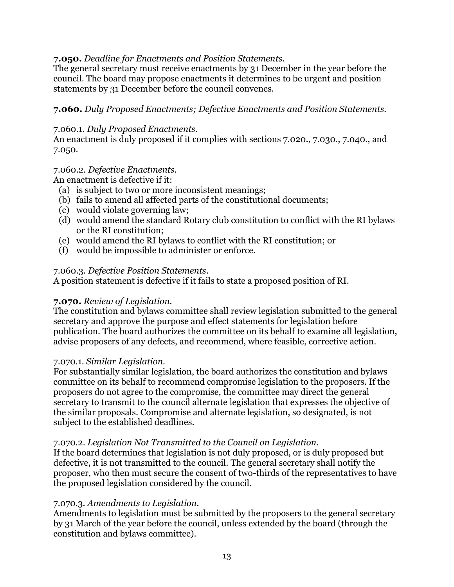### **7.050.** *Deadline for Enactments and Position Statements.*

The general secretary must receive enactments by 31 December in the year before the council. The board may propose enactments it determines to be urgent and position statements by 31 December before the council convenes.

# **7.060.** *Duly Proposed Enactments; Defective Enactments and Position Statements.*

### 7.060.1. *Duly Proposed Enactments.*

An enactment is duly proposed if it complies with sections 7.020., 7.030., 7.040., and 7.050.

#### 7.060.2. *Defective Enactments.*

An enactment is defective if it:

- (a) is subject to two or more inconsistent meanings;
- (b) fails to amend all affected parts of the constitutional documents;
- (c) would violate governing law;
- (d) would amend the standard Rotary club constitution to conflict with the RI bylaws or the RI constitution;
- (e) would amend the RI bylaws to conflict with the RI constitution; or
- (f) would be impossible to administer or enforce.

### 7.060.3. *Defective Position Statements*.

A position statement is defective if it fails to state a proposed position of RI.

### **7.070.** *Review of Legislation.*

The constitution and bylaws committee shall review legislation submitted to the general secretary and approve the purpose and effect statements for legislation before publication. The board authorizes the committee on its behalf to examine all legislation, advise proposers of any defects, and recommend, where feasible, corrective action.

### 7.070.1. *Similar Legislation.*

For substantially similar legislation, the board authorizes the constitution and bylaws committee on its behalf to recommend compromise legislation to the proposers. If the proposers do not agree to the compromise, the committee may direct the general secretary to transmit to the council alternate legislation that expresses the objective of the similar proposals. Compromise and alternate legislation, so designated, is not subject to the established deadlines.

### 7.070.2. *Legislation Not Transmitted to the Council on Legislation.*

If the board determines that legislation is not duly proposed, or is duly proposed but defective, it is not transmitted to the council. The general secretary shall notify the proposer, who then must secure the consent of two-thirds of the representatives to have the proposed legislation considered by the council.

### 7.070.3. *Amendments to Legislation.*

Amendments to legislation must be submitted by the proposers to the general secretary by 31 March of the year before the council, unless extended by the board (through the constitution and bylaws committee).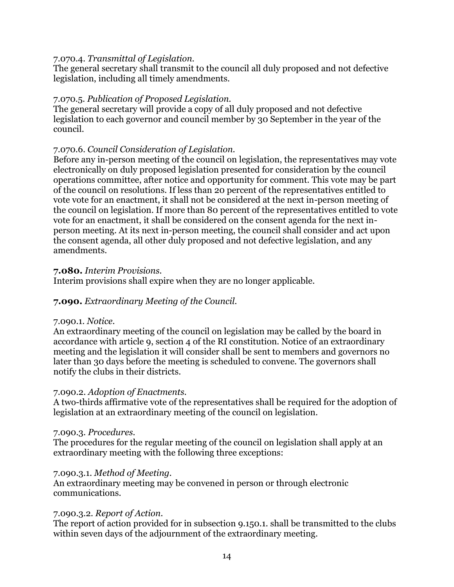#### 7.070.4. *Transmittal of Legislation.*

The general secretary shall transmit to the council all duly proposed and not defective legislation, including all timely amendments.

#### 7.070.5. *Publication of Proposed Legislation.*

The general secretary will provide a copy of all duly proposed and not defective legislation to each governor and council member by 30 September in the year of the council.

#### 7.070.6. *Council Consideration of Legislation.*

Before any in-person meeting of the council on legislation, the representatives may vote electronically on duly proposed legislation presented for consideration by the council operations committee, after notice and opportunity for comment. This vote may be part of the council on resolutions. If less than 20 percent of the representatives entitled to vote vote for an enactment, it shall not be considered at the next in-person meeting of the council on legislation. If more than 80 percent of the representatives entitled to vote vote for an enactment, it shall be considered on the consent agenda for the next inperson meeting. At its next in-person meeting, the council shall consider and act upon the consent agenda, all other duly proposed and not defective legislation, and any amendments.

#### **7.080.** *Interim Provisions.*

Interim provisions shall expire when they are no longer applicable.

### **7.090.** *Extraordinary Meeting of the Council.*

#### 7.090.1. *Notice.*

An extraordinary meeting of the council on legislation may be called by the board in accordance with article 9, section 4 of the RI constitution. Notice of an extraordinary meeting and the legislation it will consider shall be sent to members and governors no later than 30 days before the meeting is scheduled to convene. The governors shall notify the clubs in their districts.

#### 7.090.2. *Adoption of Enactments.*

A two-thirds affirmative vote of the representatives shall be required for the adoption of legislation at an extraordinary meeting of the council on legislation.

#### 7.090.3. *Procedures.*

The procedures for the regular meeting of the council on legislation shall apply at an extraordinary meeting with the following three exceptions:

#### 7.090.3.1. *Method of Meeting.*

An extraordinary meeting may be convened in person or through electronic communications.

#### 7.090.3.2*. Report of Action.*

The report of action provided for in subsection 9.150.1. shall be transmitted to the clubs within seven days of the adjournment of the extraordinary meeting.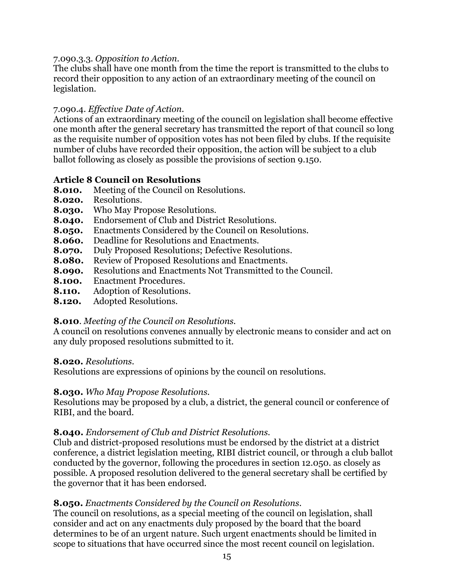#### 7.090.3.3*. Opposition to Action.*

The clubs shall have one month from the time the report is transmitted to the clubs to record their opposition to any action of an extraordinary meeting of the council on legislation.

### 7.090.4. *Effective Date of Action.*

Actions of an extraordinary meeting of the council on legislation shall become effective one month after the general secretary has transmitted the report of that council so long as the requisite number of opposition votes has not been filed by clubs. If the requisite number of clubs have recorded their opposition, the action will be subject to a club ballot following as closely as possible the provisions of section 9.150.

# **Article 8 Council on Resolutions**

- **8.010.** Meeting of the Council on Resolutions.
- **8.020.** Resolutions.
- **8.030.** Who May Propose Resolutions.
- **8.040.** Endorsement of Club and District Resolutions.
- **8.050.** Enactments Considered by the Council on Resolutions.
- **8.060.** Deadline for Resolutions and Enactments.
- **8.070.** Duly Proposed Resolutions; Defective Resolutions.
- **8.080.** Review of Proposed Resolutions and Enactments.
- **8.090.** Resolutions and Enactments Not Transmitted to the Council.
- **8.100.** Enactment Procedures.
- **8.110.** Adoption of Resolutions.
- **8.120.** Adopted Resolutions.

# **8.010**. *Meeting of the Council on Resolutions.*

A council on resolutions convenes annually by electronic means to consider and act on any duly proposed resolutions submitted to it.

### **8.020.** *Resolutions.*

Resolutions are expressions of opinions by the council on resolutions.

### **8.030.** *Who May Propose Resolutions.*

Resolutions may be proposed by a club, a district, the general council or conference of RIBI, and the board.

# **8.040.** *Endorsement of Club and District Resolutions.*

Club and district-proposed resolutions must be endorsed by the district at a district conference, a district legislation meeting, RIBI district council, or through a club ballot conducted by the governor, following the procedures in section 12.050. as closely as possible. A proposed resolution delivered to the general secretary shall be certified by the governor that it has been endorsed.

# **8.050.** *Enactments Considered by the Council on Resolutions*.

The council on resolutions, as a special meeting of the council on legislation, shall consider and act on any enactments duly proposed by the board that the board determines to be of an urgent nature. Such urgent enactments should be limited in scope to situations that have occurred since the most recent council on legislation.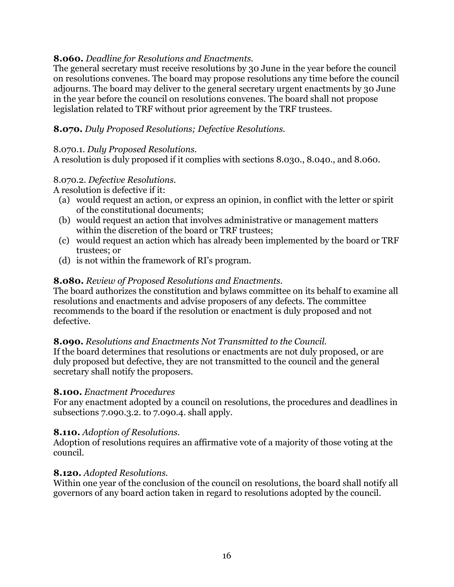# **8.060.** *Deadline for Resolutions and Enactments.*

The general secretary must receive resolutions by 30 June in the year before the council on resolutions convenes. The board may propose resolutions any time before the council adjourns. The board may deliver to the general secretary urgent enactments by 30 June in the year before the council on resolutions convenes. The board shall not propose legislation related to TRF without prior agreement by the TRF trustees.

# **8.070.** *Duly Proposed Resolutions; Defective Resolutions.*

### 8.070.1. *Duly Proposed Resolutions.*

A resolution is duly proposed if it complies with sections 8.030., 8.040., and 8.060.

# 8.070.2. *Defective Resolutions.*

A resolution is defective if it:

- (a) would request an action, or express an opinion, in conflict with the letter or spirit of the constitutional documents;
- (b) would request an action that involves administrative or management matters within the discretion of the board or TRF trustees;
- (c) would request an action which has already been implemented by the board or TRF trustees; or
- (d) is not within the framework of RI's program.

# **8.080.** *Review of Proposed Resolutions and Enactments.*

The board authorizes the constitution and bylaws committee on its behalf to examine all resolutions and enactments and advise proposers of any defects. The committee recommends to the board if the resolution or enactment is duly proposed and not defective.

# **8.090.** *Resolutions and Enactments Not Transmitted to the Council.*

If the board determines that resolutions or enactments are not duly proposed, or are duly proposed but defective, they are not transmitted to the council and the general secretary shall notify the proposers.

### **8.100.** *Enactment Procedures*

For any enactment adopted by a council on resolutions, the procedures and deadlines in subsections 7.090.3.2. to 7.090.4. shall apply.

# **8.110.** *Adoption of Resolutions.*

Adoption of resolutions requires an affirmative vote of a majority of those voting at the council.

# **8.120.** *Adopted Resolutions.*

Within one year of the conclusion of the council on resolutions, the board shall notify all governors of any board action taken in regard to resolutions adopted by the council.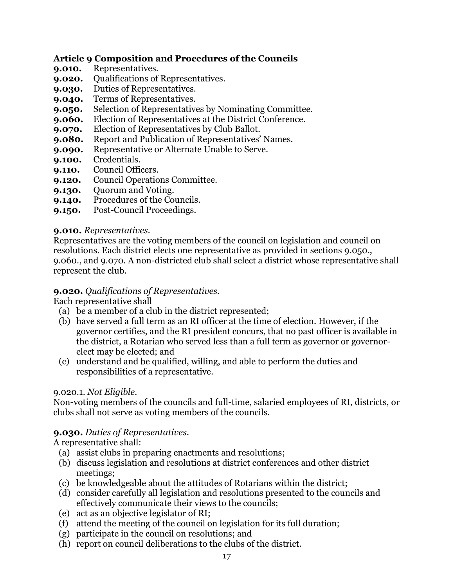# **Article 9 Composition and Procedures of the Councils**

- **9.010.** Representatives.
- **9.020.** Qualifications of Representatives.
- **9.030.** Duties of Representatives.
- **9.040.** Terms of Representatives.
- **9.050.** Selection of Representatives by Nominating Committee.
- **9.060.** Election of Representatives at the District Conference*.*
- **9.070.** Election of Representatives by Club Ballot.
- **9.080.** Report and Publication of Representatives' Names.
- **9.090.** Representative or Alternate Unable to Serve.
- **9.100.** Credentials.
- **9.110.** Council Officers.
- **9.120.** Council Operations Committee.
- **9.130.** Quorum and Voting.
- **9.140.** Procedures of the Councils.
- **9.150.** Post-Council Proceedings.

# **9.010.** *Representatives.*

Representatives are the voting members of the council on legislation and council on resolutions. Each district elects one representative as provided in sections 9.050., 9.060., and 9.070. A non-districted club shall select a district whose representative shall represent the club.

# **9.020.** *Qualifications of Representatives.*

Each representative shall

- (a) be a member of a club in the district represented;
- (b) have served a full term as an RI officer at the time of election. However, if the governor certifies, and the RI president concurs, that no past officer is available in the district, a Rotarian who served less than a full term as governor or governorelect may be elected; and
- (c) understand and be qualified, willing, and able to perform the duties and responsibilities of a representative.

# 9.020.1. *Not Eligible.*

Non-voting members of the councils and full-time, salaried employees of RI, districts, or clubs shall not serve as voting members of the councils.

# **9.030.** *Duties of Representatives.*

A representative shall:

- (a) assist clubs in preparing enactments and resolutions;
- (b) discuss legislation and resolutions at district conferences and other district meetings;
- (c) be knowledgeable about the attitudes of Rotarians within the district;
- (d) consider carefully all legislation and resolutions presented to the councils and effectively communicate their views to the councils;
- (e) act as an objective legislator of RI;
- (f) attend the meeting of the council on legislation for its full duration;
- (g) participate in the council on resolutions; and
- (h) report on council deliberations to the clubs of the district.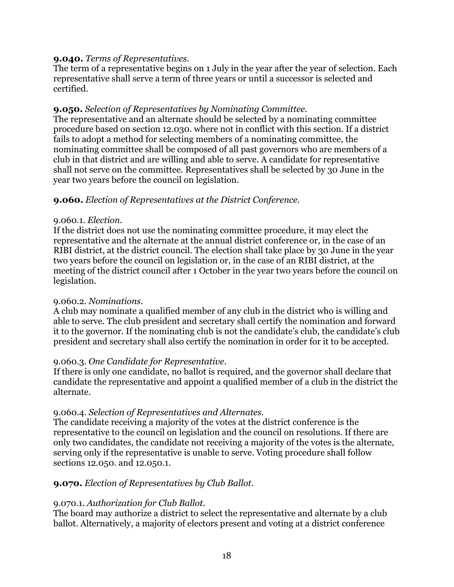# **9.040.** *Terms of Representatives.*

The term of a representative begins on 1 July in the year after the year of selection. Each representative shall serve a term of three years or until a successor is selected and certified.

# **9.050.** *Selection of Representatives by Nominating Committee.*

The representative and an alternate should be selected by a nominating committee procedure based on section 12.030. where not in conflict with this section. If a district fails to adopt a method for selecting members of a nominating committee, the nominating committee shall be composed of all past governors who are members of a club in that district and are willing and able to serve. A candidate for representative shall not serve on the committee. Representatives shall be selected by 30 June in the year two years before the council on legislation.

# **9.060.** *Election of Representatives at the District Conference.*

### 9.060.1. *Election.*

If the district does not use the nominating committee procedure, it may elect the representative and the alternate at the annual district conference or, in the case of an RIBI district, at the district council. The election shall take place by 30 June in the year two years before the council on legislation or, in the case of an RIBI district, at the meeting of the district council after 1 October in the year two years before the council on legislation.

### 9.060.2. *Nominations.*

A club may nominate a qualified member of any club in the district who is willing and able to serve. The club president and secretary shall certify the nomination and forward it to the governor. If the nominating club is not the candidate's club, the candidate's club president and secretary shall also certify the nomination in order for it to be accepted.

### 9.060.3. *One Candidate for Representative.*

If there is only one candidate, no ballot is required, and the governor shall declare that candidate the representative and appoint a qualified member of a club in the district the alternate.

# 9.060.4. *Selection of Representatives and Alternates.*

The candidate receiving a majority of the votes at the district conference is the representative to the council on legislation and the council on resolutions. If there are only two candidates, the candidate not receiving a majority of the votes is the alternate, serving only if the representative is unable to serve. Voting procedure shall follow sections 12.050. and 12.050.1.

# **9.070.** *Election of Representatives by Club Ballot.*

### 9.070.1. *Authorization for Club Ballot.*

The board may authorize a district to select the representative and alternate by a club ballot. Alternatively, a majority of electors present and voting at a district conference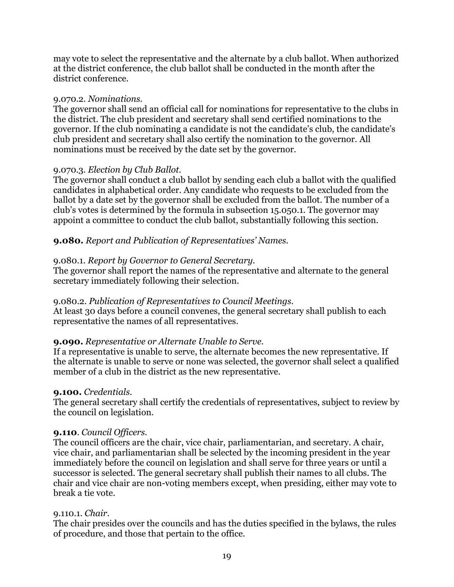may vote to select the representative and the alternate by a club ballot. When authorized at the district conference, the club ballot shall be conducted in the month after the district conference.

#### 9.070.2. *Nominations.*

The governor shall send an official call for nominations for representative to the clubs in the district. The club president and secretary shall send certified nominations to the governor. If the club nominating a candidate is not the candidate's club, the candidate's club president and secretary shall also certify the nomination to the governor. All nominations must be received by the date set by the governor.

### 9.070.3. *Election by Club Ballot.*

The governor shall conduct a club ballot by sending each club a ballot with the qualified candidates in alphabetical order. Any candidate who requests to be excluded from the ballot by a date set by the governor shall be excluded from the ballot. The number of a club's votes is determined by the formula in subsection 15.050.1. The governor may appoint a committee to conduct the club ballot, substantially following this section.

### **9.080.** *Report and Publication of Representatives' Names.*

#### 9.080.1. *Report by Governor to General Secretary.*

The governor shall report the names of the representative and alternate to the general secretary immediately following their selection.

### 9.080.2. *Publication of Representatives to Council Meetings.*

At least 30 days before a council convenes, the general secretary shall publish to each representative the names of all representatives.

#### **9.090.** *Representative or Alternate Unable to Serve.*

If a representative is unable to serve, the alternate becomes the new representative. If the alternate is unable to serve or none was selected, the governor shall select a qualified member of a club in the district as the new representative.

#### **9.100.** *Credentials.*

The general secretary shall certify the credentials of representatives, subject to review by the council on legislation.

#### **9.110**. *Council Officers.*

The council officers are the chair, vice chair, parliamentarian, and secretary. A chair, vice chair, and parliamentarian shall be selected by the incoming president in the year immediately before the council on legislation and shall serve for three years or until a successor is selected. The general secretary shall publish their names to all clubs. The chair and vice chair are non-voting members except, when presiding, either may vote to break a tie vote.

#### 9.110.1. *Chair.*

The chair presides over the councils and has the duties specified in the bylaws, the rules of procedure, and those that pertain to the office.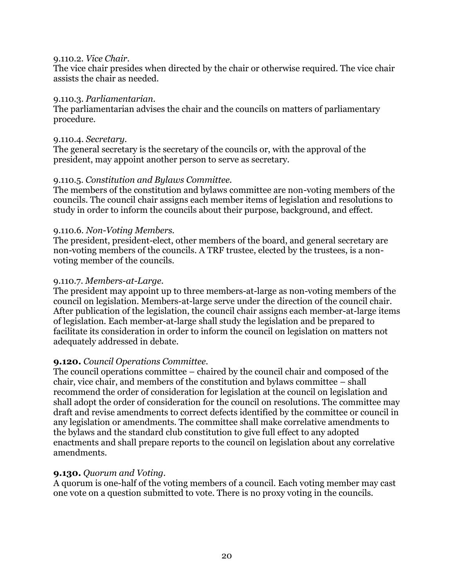#### 9.110.2. *Vice Chair.*

The vice chair presides when directed by the chair or otherwise required. The vice chair assists the chair as needed.

#### 9.110.3. *Parliamentarian.*

The parliamentarian advises the chair and the councils on matters of parliamentary procedure.

#### 9.110.4. *Secretary.*

The general secretary is the secretary of the councils or, with the approval of the president, may appoint another person to serve as secretary.

### 9.110.5. *Constitution and Bylaws Committee.*

The members of the constitution and bylaws committee are non-voting members of the councils. The council chair assigns each member items of legislation and resolutions to study in order to inform the councils about their purpose, background, and effect.

### 9.110.6. *Non-Voting Members.*

The president, president-elect, other members of the board, and general secretary are non-voting members of the councils. A TRF trustee, elected by the trustees, is a nonvoting member of the councils.

#### 9.110.7. *Members-at-Large.*

The president may appoint up to three members-at-large as non-voting members of the council on legislation. Members-at-large serve under the direction of the council chair. After publication of the legislation, the council chair assigns each member-at-large items of legislation. Each member-at-large shall study the legislation and be prepared to facilitate its consideration in order to inform the council on legislation on matters not adequately addressed in debate.

### **9.120.** *Council Operations Committee.*

The council operations committee – chaired by the council chair and composed of the chair, vice chair, and members of the constitution and bylaws committee – shall recommend the order of consideration for legislation at the council on legislation and shall adopt the order of consideration for the council on resolutions. The committee may draft and revise amendments to correct defects identified by the committee or council in any legislation or amendments. The committee shall make correlative amendments to the bylaws and the standard club constitution to give full effect to any adopted enactments and shall prepare reports to the council on legislation about any correlative amendments.

### **9.130.** *Quorum and Voting.*

A quorum is one-half of the voting members of a council. Each voting member may cast one vote on a question submitted to vote. There is no proxy voting in the councils.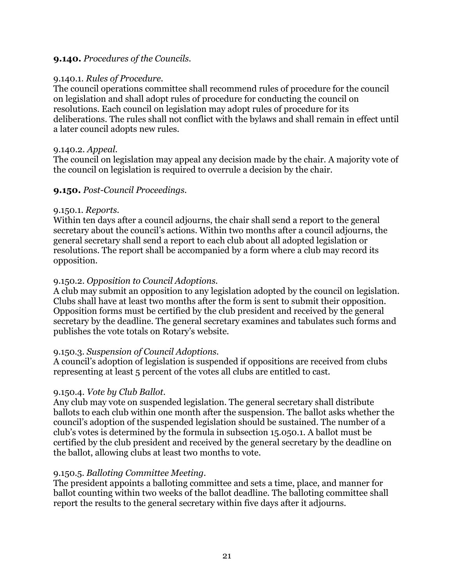### **9.140.** *Procedures of the Councils.*

#### 9.140.1. *Rules of Procedure.*

The council operations committee shall recommend rules of procedure for the council on legislation and shall adopt rules of procedure for conducting the council on resolutions. Each council on legislation may adopt rules of procedure for its deliberations. The rules shall not conflict with the bylaws and shall remain in effect until a later council adopts new rules.

#### 9.140.2. *Appeal.*

The council on legislation may appeal any decision made by the chair. A majority vote of the council on legislation is required to overrule a decision by the chair.

#### **9.150.** *Post-Council Proceedings.*

#### 9.150.1. *Reports.*

Within ten days after a council adjourns, the chair shall send a report to the general secretary about the council's actions. Within two months after a council adjourns, the general secretary shall send a report to each club about all adopted legislation or resolutions. The report shall be accompanied by a form where a club may record its opposition.

#### 9.150.2. *Opposition to Council Adoptions.*

A club may submit an opposition to any legislation adopted by the council on legislation. Clubs shall have at least two months after the form is sent to submit their opposition. Opposition forms must be certified by the club president and received by the general secretary by the deadline. The general secretary examines and tabulates such forms and publishes the vote totals on Rotary's website.

### 9.150.3. *Suspension of Council Adoptions.*

A council's adoption of legislation is suspended if oppositions are received from clubs representing at least 5 percent of the votes all clubs are entitled to cast.

#### 9.150.4. *Vote by Club Ballot.*

Any club may vote on suspended legislation. The general secretary shall distribute ballots to each club within one month after the suspension. The ballot asks whether the council's adoption of the suspended legislation should be sustained. The number of a club's votes is determined by the formula in subsection 15.050.1. A ballot must be certified by the club president and received by the general secretary by the deadline on the ballot, allowing clubs at least two months to vote.

### 9.150.5. *Balloting Committee Meeting.*

The president appoints a balloting committee and sets a time, place, and manner for ballot counting within two weeks of the ballot deadline. The balloting committee shall report the results to the general secretary within five days after it adjourns.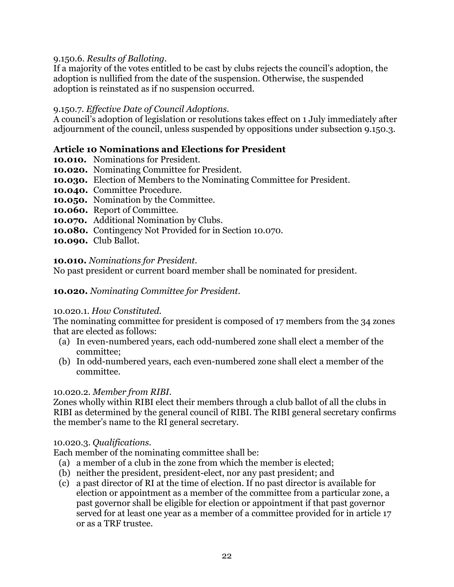### 9.150.6. *Results of Balloting.*

If a majority of the votes entitled to be cast by clubs rejects the council's adoption, the adoption is nullified from the date of the suspension. Otherwise, the suspended adoption is reinstated as if no suspension occurred.

### 9.150.7. *Effective Date of Council Adoptions.*

A council's adoption of legislation or resolutions takes effect on 1 July immediately after adjournment of the council, unless suspended by oppositions under subsection 9.150.3.

# **Article 10 Nominations and Elections for President**

- **10.010.** Nominations for President.
- **10.020.** Nominating Committee for President.
- **10.030.** Election of Members to the Nominating Committee for President.
- **10.040.** Committee Procedure.
- **10.050.** Nomination by the Committee.
- **10.060.** Report of Committee.
- **10.070.** Additional Nomination by Clubs.
- **10.080.** Contingency Not Provided for in Section 10.070.
- **10.090.** Club Ballot.

### **10.010.** *Nominations for President.*

No past president or current board member shall be nominated for president.

### **10.020.** *Nominating Committee for President.*

### 10.020.1. *How Constituted.*

The nominating committee for president is composed of 17 members from the 34 zones that are elected as follows:

- (a) In even-numbered years, each odd-numbered zone shall elect a member of the committee;
- (b) In odd-numbered years, each even-numbered zone shall elect a member of the committee.

### 10.020.2. *Member from RIBI.*

Zones wholly within RIBI elect their members through a club ballot of all the clubs in RIBI as determined by the general council of RIBI. The RIBI general secretary confirms the member's name to the RI general secretary.

### 10.020.3. *Qualifications.*

Each member of the nominating committee shall be:

- (a) a member of a club in the zone from which the member is elected;
- (b) neither the president, president-elect, nor any past president; and
- (c) a past director of RI at the time of election. If no past director is available for election or appointment as a member of the committee from a particular zone, a past governor shall be eligible for election or appointment if that past governor served for at least one year as a member of a committee provided for in article 17 or as a TRF trustee.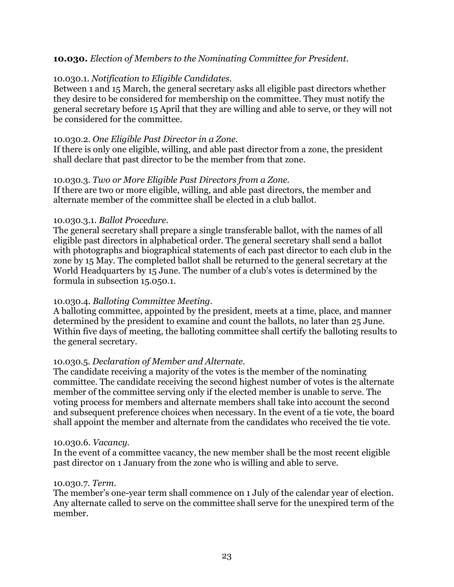### **10.030.** *Election of Members to the Nominating Committee for President.*

### 10.030.1. *Notification to Eligible Candidates.*

Between 1 and 15 March, the general secretary asks all eligible past directors whether they desire to be considered for membership on the committee. They must notify the general secretary before 15 April that they are willing and able to serve, or they will not be considered for the committee.

#### 10.030.2. *One Eligible Past Director in a Zone.*

If there is only one eligible, willing, and able past director from a zone, the president shall declare that past director to be the member from that zone.

#### 10.030.3. *Two or More Eligible Past Directors from a Zone.*

If there are two or more eligible, willing, and able past directors, the member and alternate member of the committee shall be elected in a club ballot.

#### 10.030.3.1. *Ballot Procedure.*

The general secretary shall prepare a single transferable ballot, with the names of all eligible past directors in alphabetical order. The general secretary shall send a ballot with photographs and biographical statements of each past director to each club in the zone by 15 May. The completed ballot shall be returned to the general secretary at the World Headquarters by 15 June. The number of a club's votes is determined by the formula in subsection 15.050.1.

### 10.030.4. *Balloting Committee Meeting.*

A balloting committee, appointed by the president, meets at a time, place, and manner determined by the president to examine and count the ballots, no later than 25 June. Within five days of meeting, the balloting committee shall certify the balloting results to the general secretary.

### 10.030.5. *Declaration of Member and Alternate.*

The candidate receiving a majority of the votes is the member of the nominating committee. The candidate receiving the second highest number of votes is the alternate member of the committee serving only if the elected member is unable to serve. The voting process for members and alternate members shall take into account the second and subsequent preference choices when necessary. In the event of a tie vote, the board shall appoint the member and alternate from the candidates who received the tie vote.

#### 10.030.6. *Vacancy.*

In the event of a committee vacancy, the new member shall be the most recent eligible past director on 1 January from the zone who is willing and able to serve.

#### 10.030.7. *Term.*

The member's one-year term shall commence on 1 July of the calendar year of election. Any alternate called to serve on the committee shall serve for the unexpired term of the member.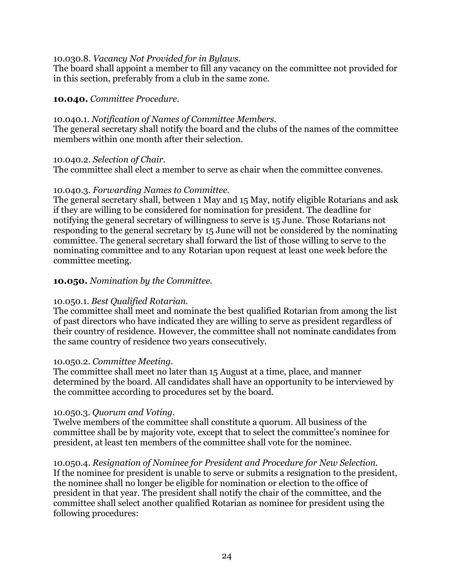#### 10.030.8. *Vacancy Not Provided for in Bylaws.*

The board shall appoint a member to fill any vacancy on the committee not provided for in this section, preferably from a club in the same zone.

#### **10.040.** *Committee Procedure.*

#### 10.040.1. *Notification of Names of Committee Members.*

The general secretary shall notify the board and the clubs of the names of the committee members within one month after their selection.

#### 10.040.2. *Selection of Chair.*

The committee shall elect a member to serve as chair when the committee convenes.

#### 10.040.3. *Forwarding Names to Committee.*

The general secretary shall, between 1 May and 15 May, notify eligible Rotarians and ask if they are willing to be considered for nomination for president. The deadline for notifying the general secretary of willingness to serve is 15 June. Those Rotarians not responding to the general secretary by 15 June will not be considered by the nominating committee. The general secretary shall forward the list of those willing to serve to the nominating committee and to any Rotarian upon request at least one week before the committee meeting.

### **10.050.** *Nomination by the Committee.*

### 10.050.1. *Best Qualified Rotarian.*

The committee shall meet and nominate the best qualified Rotarian from among the list of past directors who have indicated they are willing to serve as president regardless of their country of residence. However, the committee shall not nominate candidates from the same country of residence two years consecutively.

#### 10.050.2. *Committee Meeting.*

The committee shall meet no later than 15 August at a time, place, and manner determined by the board. All candidates shall have an opportunity to be interviewed by the committee according to procedures set by the board.

#### 10.050.3. *Quorum and Voting.*

Twelve members of the committee shall constitute a quorum. All business of the committee shall be by majority vote, except that to select the committee's nominee for president, at least ten members of the committee shall vote for the nominee.

10.050.4. *Resignation of Nominee for President and Procedure for New Selection.* If the nominee for president is unable to serve or submits a resignation to the president, the nominee shall no longer be eligible for nomination or election to the office of president in that year. The president shall notify the chair of the committee, and the committee shall select another qualified Rotarian as nominee for president using the following procedures: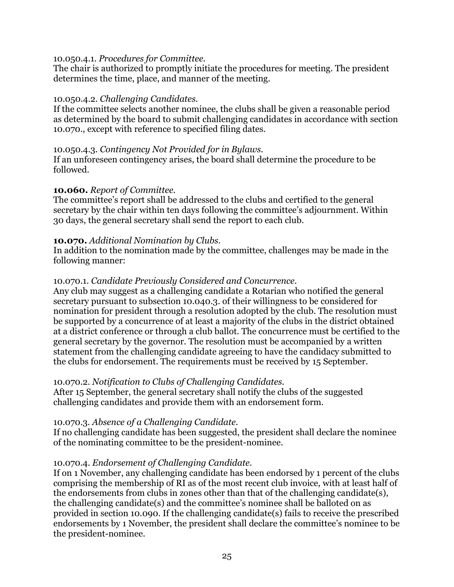#### 10.050.4.1. *Procedures for Committee.*

The chair is authorized to promptly initiate the procedures for meeting. The president determines the time, place, and manner of the meeting.

### 10.050.4.2. *Challenging Candidates.*

If the committee selects another nominee, the clubs shall be given a reasonable period as determined by the board to submit challenging candidates in accordance with section 10.070., except with reference to specified filing dates.

#### 10.050.4.3. *Contingency Not Provided for in Bylaws.*

If an unforeseen contingency arises, the board shall determine the procedure to be followed.

### **10.060.** *Report of Committee.*

The committee's report shall be addressed to the clubs and certified to the general secretary by the chair within ten days following the committee's adjournment. Within 30 days, the general secretary shall send the report to each club.

### **10.070.** *Additional Nomination by Clubs.*

In addition to the nomination made by the committee, challenges may be made in the following manner:

### 10.070.1. *Candidate Previously Considered and Concurrence.*

Any club may suggest as a challenging candidate a Rotarian who notified the general secretary pursuant to subsection 10.040.3. of their willingness to be considered for nomination for president through a resolution adopted by the club. The resolution must be supported by a concurrence of at least a majority of the clubs in the district obtained at a district conference or through a club ballot. The concurrence must be certified to the general secretary by the governor. The resolution must be accompanied by a written statement from the challenging candidate agreeing to have the candidacy submitted to the clubs for endorsement. The requirements must be received by 15 September.

### 10.070.2. *Notification to Clubs of Challenging Candidates.*

After 15 September, the general secretary shall notify the clubs of the suggested challenging candidates and provide them with an endorsement form.

### 10.070.3. *Absence of a Challenging Candidate.*

If no challenging candidate has been suggested, the president shall declare the nominee of the nominating committee to be the president-nominee.

### 10.070.4. *Endorsement of Challenging Candidate.*

If on 1 November, any challenging candidate has been endorsed by 1 percent of the clubs comprising the membership of RI as of the most recent club invoice, with at least half of the endorsements from clubs in zones other than that of the challenging candidate(s), the challenging candidate(s) and the committee's nominee shall be balloted on as provided in section 10.090. If the challenging candidate(s) fails to receive the prescribed endorsements by 1 November, the president shall declare the committee's nominee to be the president-nominee.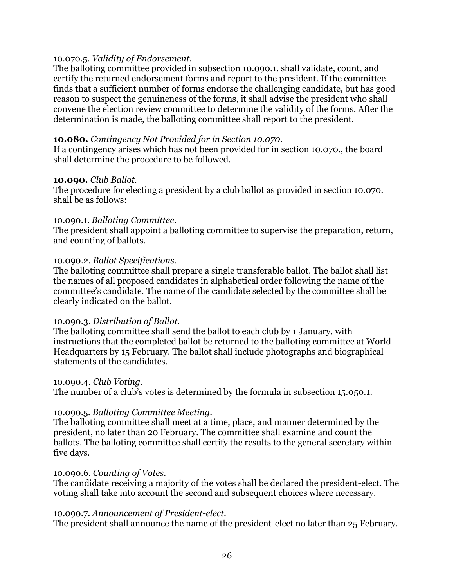#### 10.070.5. *Validity of Endorsement.*

The balloting committee provided in subsection 10.090.1. shall validate, count, and certify the returned endorsement forms and report to the president. If the committee finds that a sufficient number of forms endorse the challenging candidate, but has good reason to suspect the genuineness of the forms, it shall advise the president who shall convene the election review committee to determine the validity of the forms. After the determination is made, the balloting committee shall report to the president.

#### **10.080.** *Contingency Not Provided for in Section 10.070.*

If a contingency arises which has not been provided for in section 10.070., the board shall determine the procedure to be followed.

#### **10.090.** *Club Ballot.*

The procedure for electing a president by a club ballot as provided in section 10.070. shall be as follows:

#### 10.090.1. *Balloting Committee.*

The president shall appoint a balloting committee to supervise the preparation, return, and counting of ballots.

#### 10.090.2. *Ballot Specifications.*

The balloting committee shall prepare a single transferable ballot. The ballot shall list the names of all proposed candidates in alphabetical order following the name of the committee's candidate. The name of the candidate selected by the committee shall be clearly indicated on the ballot.

#### 10.090.3. *Distribution of Ballot.*

The balloting committee shall send the ballot to each club by 1 January, with instructions that the completed ballot be returned to the balloting committee at World Headquarters by 15 February. The ballot shall include photographs and biographical statements of the candidates.

#### 10.090.4. *Club Voting.*

The number of a club's votes is determined by the formula in subsection 15.050.1.

#### 10.090.5. *Balloting Committee Meeting.*

The balloting committee shall meet at a time, place, and manner determined by the president, no later than 20 February. The committee shall examine and count the ballots. The balloting committee shall certify the results to the general secretary within five days.

#### 10.090.6. *Counting of Votes.*

The candidate receiving a majority of the votes shall be declared the president-elect. The voting shall take into account the second and subsequent choices where necessary.

#### 10.090.7. *Announcement of President-elect.*

The president shall announce the name of the president-elect no later than 25 February.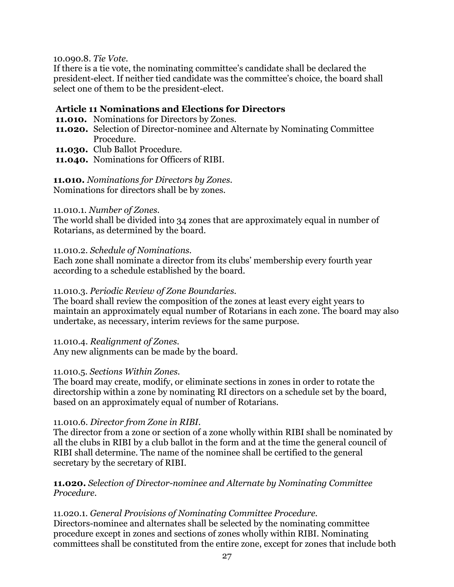10.090.8. *Tie Vote.*

If there is a tie vote, the nominating committee's candidate shall be declared the president-elect. If neither tied candidate was the committee's choice, the board shall select one of them to be the president-elect.

### **Article 11 Nominations and Elections for Directors**

- **11.010.** Nominations for Directors by Zones.
- **11.020.** Selection of Director-nominee and Alternate by Nominating Committee Procedure.
- **11.030.** Club Ballot Procedure.
- **11.040.** Nominations for Officers of RIBI.

### **11.010.** *Nominations for Directors by Zones.*

Nominations for directors shall be by zones.

#### 11.010.1. *Number of Zones.*

The world shall be divided into 34 zones that are approximately equal in number of Rotarians, as determined by the board.

#### 11.010.2. *Schedule of Nominations.*

Each zone shall nominate a director from its clubs' membership every fourth year according to a schedule established by the board.

#### 11.010.3. *Periodic Review of Zone Boundaries.*

The board shall review the composition of the zones at least every eight years to maintain an approximately equal number of Rotarians in each zone. The board may also undertake, as necessary, interim reviews for the same purpose.

11.010.4. *Realignment of Zones.* Any new alignments can be made by the board.

### 11.010.5. *Sections Within Zones.*

The board may create, modify, or eliminate sections in zones in order to rotate the directorship within a zone by nominating RI directors on a schedule set by the board, based on an approximately equal of number of Rotarians.

### 11.010.6. *Director from Zone in RIBI.*

The director from a zone or section of a zone wholly within RIBI shall be nominated by all the clubs in RIBI by a club ballot in the form and at the time the general council of RIBI shall determine. The name of the nominee shall be certified to the general secretary by the secretary of RIBI.

### **11.020.** *Selection of Director-nominee and Alternate by Nominating Committee Procedure.*

11.020.1. *General Provisions of Nominating Committee Procedure.* Directors-nominee and alternates shall be selected by the nominating committee procedure except in zones and sections of zones wholly within RIBI. Nominating committees shall be constituted from the entire zone, except for zones that include both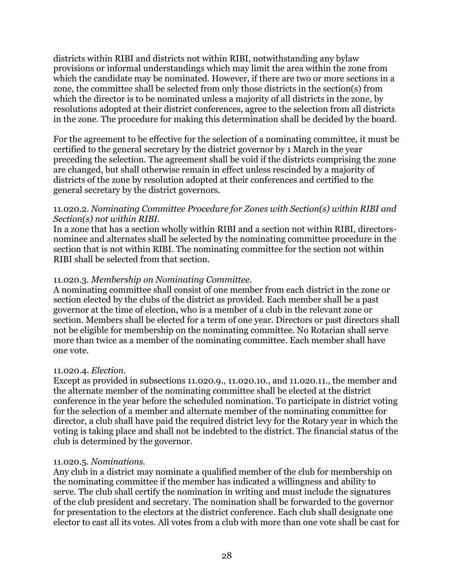districts within RIBI and districts not within RIBI, notwithstanding any bylaw provisions or informal understandings which may limit the area within the zone from which the candidate may be nominated. However, if there are two or more sections in a zone, the committee shall be selected from only those districts in the section(s) from which the director is to be nominated unless a majority of all districts in the zone, by resolutions adopted at their district conferences, agree to the selection from all districts in the zone. The procedure for making this determination shall be decided by the board.

For the agreement to be effective for the selection of a nominating committee, it must be certified to the general secretary by the district governor by 1 March in the year preceding the selection. The agreement shall be void if the districts comprising the zone are changed, but shall otherwise remain in effect unless rescinded by a majority of districts of the zone by resolution adopted at their conferences and certified to the general secretary by the district governors.

### 11.020.2. *Nominating Committee Procedure for Zones with Section(s) within RIBI and Section(s) not within RIBI.*

In a zone that has a section wholly within RIBI and a section not within RIBI, directorsnominee and alternates shall be selected by the nominating committee procedure in the section that is not within RIBI. The nominating committee for the section not within RIBI shall be selected from that section.

# 11.020.3. *Membership on Nominating Committee.*

A nominating committee shall consist of one member from each district in the zone or section elected by the clubs of the district as provided. Each member shall be a past governor at the time of election, who is a member of a club in the relevant zone or section. Members shall be elected for a term of one year. Directors or past directors shall not be eligible for membership on the nominating committee. No Rotarian shall serve more than twice as a member of the nominating committee. Each member shall have one vote.

### 11.020.4. *Election.*

Except as provided in subsections 11.020.9., 11.020.10., and 11.020.11., the member and the alternate member of the nominating committee shall be elected at the district conference in the year before the scheduled nomination. To participate in district voting for the selection of a member and alternate member of the nominating committee for director, a club shall have paid the required district levy for the Rotary year in which the voting is taking place and shall not be indebted to the district. The financial status of the club is determined by the governor.

### 11.020.5. *Nominations.*

Any club in a district may nominate a qualified member of the club for membership on the nominating committee if the member has indicated a willingness and ability to serve. The club shall certify the nomination in writing and must include the signatures of the club president and secretary. The nomination shall be forwarded to the governor for presentation to the electors at the district conference. Each club shall designate one elector to cast all its votes. All votes from a club with more than one vote shall be cast for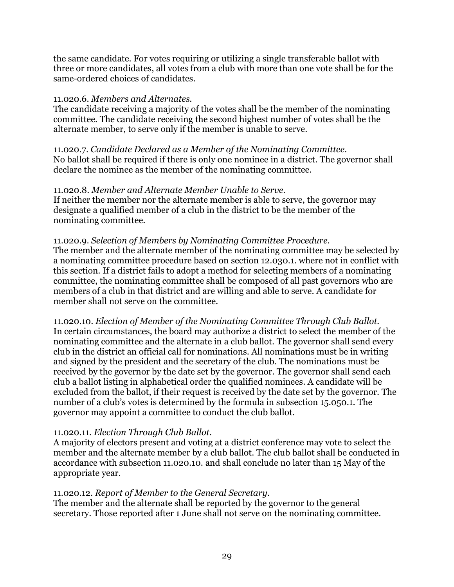the same candidate. For votes requiring or utilizing a single transferable ballot with three or more candidates, all votes from a club with more than one vote shall be for the same-ordered choices of candidates.

### 11.020.6. *Members and Alternates.*

The candidate receiving a majority of the votes shall be the member of the nominating committee. The candidate receiving the second highest number of votes shall be the alternate member, to serve only if the member is unable to serve.

11.020.7. *Candidate Declared as a Member of the Nominating Committee.* No ballot shall be required if there is only one nominee in a district. The governor shall declare the nominee as the member of the nominating committee.

# 11.020.8. *Member and Alternate Member Unable to Serve.*

If neither the member nor the alternate member is able to serve, the governor may designate a qualified member of a club in the district to be the member of the nominating committee.

# 11.020.9. *Selection of Members by Nominating Committee Procedure.*

The member and the alternate member of the nominating committee may be selected by a nominating committee procedure based on section 12.030.1. where not in conflict with this section. If a district fails to adopt a method for selecting members of a nominating committee, the nominating committee shall be composed of all past governors who are members of a club in that district and are willing and able to serve. A candidate for member shall not serve on the committee.

11.020.10. *Election of Member of the Nominating Committee Through Club Ballot.* In certain circumstances, the board may authorize a district to select the member of the nominating committee and the alternate in a club ballot. The governor shall send every club in the district an official call for nominations. All nominations must be in writing and signed by the president and the secretary of the club. The nominations must be received by the governor by the date set by the governor. The governor shall send each club a ballot listing in alphabetical order the qualified nominees. A candidate will be excluded from the ballot, if their request is received by the date set by the governor. The number of a club's votes is determined by the formula in subsection 15.050.1. The governor may appoint a committee to conduct the club ballot.

### 11.020.11. *Election Through Club Ballot.*

A majority of electors present and voting at a district conference may vote to select the member and the alternate member by a club ballot. The club ballot shall be conducted in accordance with subsection 11.020.10. and shall conclude no later than 15 May of the appropriate year.

# 11.020.12. *Report of Member to the General Secretary.*

The member and the alternate shall be reported by the governor to the general secretary. Those reported after 1 June shall not serve on the nominating committee.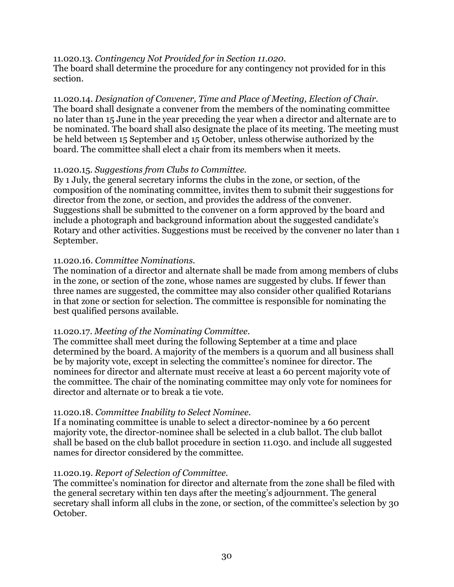### 11.020.13. *Contingency Not Provided for in Section 11.020.*

The board shall determine the procedure for any contingency not provided for in this section.

11.020.14. *Designation of Convener, Time and Place of Meeting, Election of Chair.* The board shall designate a convener from the members of the nominating committee no later than 15 June in the year preceding the year when a director and alternate are to be nominated. The board shall also designate the place of its meeting. The meeting must be held between 15 September and 15 October, unless otherwise authorized by the board. The committee shall elect a chair from its members when it meets.

#### 11.020.15. *Suggestions from Clubs to Committee.*

By 1 July, the general secretary informs the clubs in the zone, or section, of the composition of the nominating committee, invites them to submit their suggestions for director from the zone, or section, and provides the address of the convener. Suggestions shall be submitted to the convener on a form approved by the board and include a photograph and background information about the suggested candidate's Rotary and other activities. Suggestions must be received by the convener no later than 1 September.

#### 11.020.16. *Committee Nominations.*

The nomination of a director and alternate shall be made from among members of clubs in the zone, or section of the zone, whose names are suggested by clubs. If fewer than three names are suggested, the committee may also consider other qualified Rotarians in that zone or section for selection. The committee is responsible for nominating the best qualified persons available.

### 11.020.17. *Meeting of the Nominating Committee.*

The committee shall meet during the following September at a time and place determined by the board. A majority of the members is a quorum and all business shall be by majority vote, except in selecting the committee's nominee for director. The nominees for director and alternate must receive at least a 60 percent majority vote of the committee. The chair of the nominating committee may only vote for nominees for director and alternate or to break a tie vote.

### 11.020.18. *Committee Inability to Select Nominee.*

If a nominating committee is unable to select a director-nominee by a 60 percent majority vote, the director-nominee shall be selected in a club ballot. The club ballot shall be based on the club ballot procedure in section 11.030. and include all suggested names for director considered by the committee.

### 11.020.19. *Report of Selection of Committee.*

The committee's nomination for director and alternate from the zone shall be filed with the general secretary within ten days after the meeting's adjournment. The general secretary shall inform all clubs in the zone, or section, of the committee's selection by 30 October.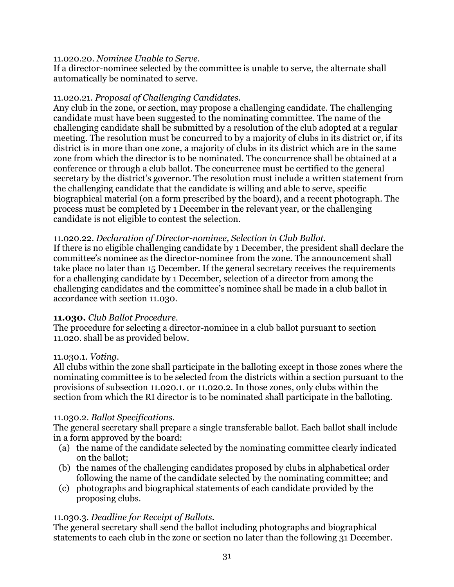#### 11.020.20. *Nominee Unable to Serve.*

If a director-nominee selected by the committee is unable to serve, the alternate shall automatically be nominated to serve.

#### 11.020.21. *Proposal of Challenging Candidates.*

Any club in the zone, or section, may propose a challenging candidate. The challenging candidate must have been suggested to the nominating committee. The name of the challenging candidate shall be submitted by a resolution of the club adopted at a regular meeting. The resolution must be concurred to by a majority of clubs in its district or, if its district is in more than one zone, a majority of clubs in its district which are in the same zone from which the director is to be nominated. The concurrence shall be obtained at a conference or through a club ballot. The concurrence must be certified to the general secretary by the district's governor. The resolution must include a written statement from the challenging candidate that the candidate is willing and able to serve, specific biographical material (on a form prescribed by the board), and a recent photograph. The process must be completed by 1 December in the relevant year, or the challenging candidate is not eligible to contest the selection.

#### 11.020.22. *Declaration of Director-nominee, Selection in Club Ballot.*

If there is no eligible challenging candidate by 1 December, the president shall declare the committee's nominee as the director-nominee from the zone. The announcement shall take place no later than 15 December. If the general secretary receives the requirements for a challenging candidate by 1 December, selection of a director from among the challenging candidates and the committee's nominee shall be made in a club ballot in accordance with section 11.030.

#### **11.030.** *Club Ballot Procedure.*

The procedure for selecting a director-nominee in a club ballot pursuant to section 11.020. shall be as provided below.

#### 11.030.1. *Voting.*

All clubs within the zone shall participate in the balloting except in those zones where the nominating committee is to be selected from the districts within a section pursuant to the provisions of subsection 11.020.1. or 11.020.2. In those zones, only clubs within the section from which the RI director is to be nominated shall participate in the balloting.

### 11.030.2. *Ballot Specifications.*

The general secretary shall prepare a single transferable ballot. Each ballot shall include in a form approved by the board:

- (a) the name of the candidate selected by the nominating committee clearly indicated on the ballot;
- (b) the names of the challenging candidates proposed by clubs in alphabetical order following the name of the candidate selected by the nominating committee; and
- (c) photographs and biographical statements of each candidate provided by the proposing clubs.

### 11.030.3. *Deadline for Receipt of Ballots.*

The general secretary shall send the ballot including photographs and biographical statements to each club in the zone or section no later than the following 31 December.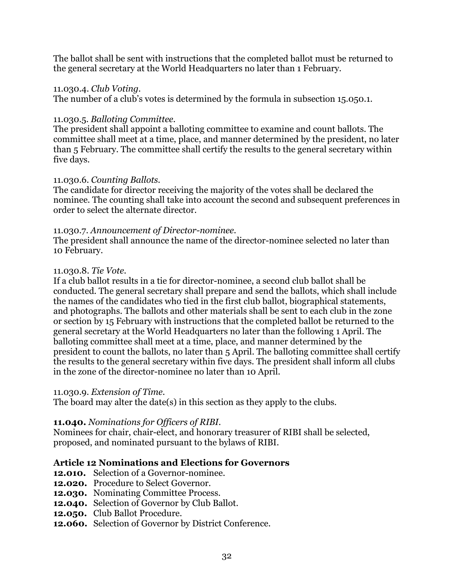The ballot shall be sent with instructions that the completed ballot must be returned to the general secretary at the World Headquarters no later than 1 February.

#### 11.030.4. *Club Voting.*

The number of a club's votes is determined by the formula in subsection 15.050.1.

#### 11.030.5. *Balloting Committee.*

The president shall appoint a balloting committee to examine and count ballots. The committee shall meet at a time, place, and manner determined by the president, no later than 5 February. The committee shall certify the results to the general secretary within five days.

### 11.030.6. *Counting Ballots.*

The candidate for director receiving the majority of the votes shall be declared the nominee. The counting shall take into account the second and subsequent preferences in order to select the alternate director.

### 11.030.7. *Announcement of Director-nominee.*

The president shall announce the name of the director-nominee selected no later than 10 February.

#### 11.030.8. *Tie Vote.*

If a club ballot results in a tie for director-nominee, a second club ballot shall be conducted. The general secretary shall prepare and send the ballots, which shall include the names of the candidates who tied in the first club ballot, biographical statements, and photographs. The ballots and other materials shall be sent to each club in the zone or section by 15 February with instructions that the completed ballot be returned to the general secretary at the World Headquarters no later than the following 1 April. The balloting committee shall meet at a time, place, and manner determined by the president to count the ballots, no later than 5 April. The balloting committee shall certify the results to the general secretary within five days. The president shall inform all clubs in the zone of the director-nominee no later than 10 April.

#### 11.030.9. *Extension of Time.*

The board may alter the date(s) in this section as they apply to the clubs.

### **11.040.** *Nominations for Officers of RIBI.*

Nominees for chair, chair-elect, and honorary treasurer of RIBI shall be selected, proposed, and nominated pursuant to the bylaws of RIBI.

### **Article 12 Nominations and Elections for Governors**

- **12.010.** Selection of a Governor-nominee.
- **12.020.** Procedure to Select Governor.
- **12.030.** Nominating Committee Process.
- **12.040.** Selection of Governor by Club Ballot.
- **12.050.** Club Ballot Procedure.
- **12.060.** Selection of Governor by District Conference.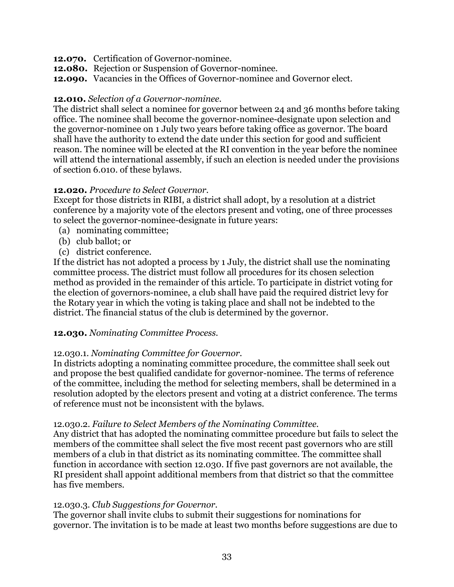- **12.070.** Certification of Governor-nominee.
- **12.080.** Rejection or Suspension of Governor-nominee.
- **12.090.** Vacancies in the Offices of Governor-nominee and Governor elect.

#### **12.010.** *Selection of a Governor-nominee.*

The district shall select a nominee for governor between 24 and 36 months before taking office. The nominee shall become the governor-nominee-designate upon selection and the governor-nominee on 1 July two years before taking office as governor. The board shall have the authority to extend the date under this section for good and sufficient reason. The nominee will be elected at the RI convention in the year before the nominee will attend the international assembly, if such an election is needed under the provisions of section 6.010. of these bylaws.

#### **12.020.** *Procedure to Select Governor.*

Except for those districts in RIBI, a district shall adopt, by a resolution at a district conference by a majority vote of the electors present and voting, one of three processes to select the governor-nominee-designate in future years:

- (a) nominating committee;
- (b) club ballot; or
- (c) district conference.

If the district has not adopted a process by 1 July, the district shall use the nominating committee process. The district must follow all procedures for its chosen selection method as provided in the remainder of this article. To participate in district voting for the election of governors-nominee, a club shall have paid the required district levy for the Rotary year in which the voting is taking place and shall not be indebted to the district. The financial status of the club is determined by the governor.

### **12.030.** *Nominating Committee Process.*

### 12.030.1. *Nominating Committee for Governor.*

In districts adopting a nominating committee procedure, the committee shall seek out and propose the best qualified candidate for governor-nominee. The terms of reference of the committee, including the method for selecting members, shall be determined in a resolution adopted by the electors present and voting at a district conference. The terms of reference must not be inconsistent with the bylaws.

### 12.030.2. *Failure to Select Members of the Nominating Committee.*

Any district that has adopted the nominating committee procedure but fails to select the members of the committee shall select the five most recent past governors who are still members of a club in that district as its nominating committee. The committee shall function in accordance with section 12.030. If five past governors are not available, the RI president shall appoint additional members from that district so that the committee has five members.

#### 12.030.3. *Club Suggestions for Governor.*

The governor shall invite clubs to submit their suggestions for nominations for governor. The invitation is to be made at least two months before suggestions are due to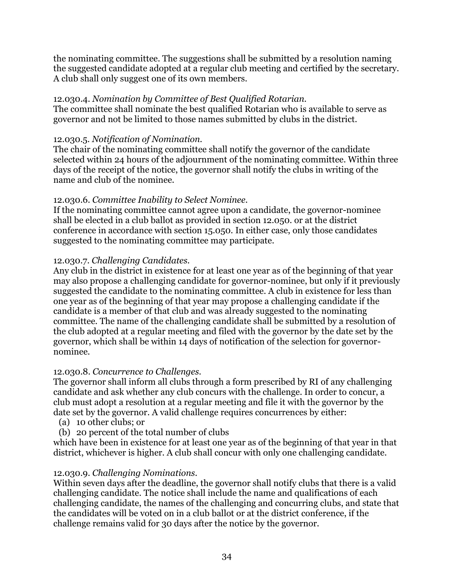the nominating committee. The suggestions shall be submitted by a resolution naming the suggested candidate adopted at a regular club meeting and certified by the secretary. A club shall only suggest one of its own members.

### 12.030.4. *Nomination by Committee of Best Qualified Rotarian.*

The committee shall nominate the best qualified Rotarian who is available to serve as governor and not be limited to those names submitted by clubs in the district.

# 12.030.5. *Notification of Nomination.*

The chair of the nominating committee shall notify the governor of the candidate selected within 24 hours of the adjournment of the nominating committee. Within three days of the receipt of the notice, the governor shall notify the clubs in writing of the name and club of the nominee.

# 12.030.6. *Committee Inability to Select Nominee.*

If the nominating committee cannot agree upon a candidate, the governor-nominee shall be elected in a club ballot as provided in section 12.050. or at the district conference in accordance with section 15.050. In either case, only those candidates suggested to the nominating committee may participate.

# 12.030.7. *Challenging Candidates.*

Any club in the district in existence for at least one year as of the beginning of that year may also propose a challenging candidate for governor-nominee, but only if it previously suggested the candidate to the nominating committee. A club in existence for less than one year as of the beginning of that year may propose a challenging candidate if the candidate is a member of that club and was already suggested to the nominating committee. The name of the challenging candidate shall be submitted by a resolution of the club adopted at a regular meeting and filed with the governor by the date set by the governor, which shall be within 14 days of notification of the selection for governornominee.

### 12.030.8. *Concurrence to Challenges.*

The governor shall inform all clubs through a form prescribed by RI of any challenging candidate and ask whether any club concurs with the challenge. In order to concur, a club must adopt a resolution at a regular meeting and file it with the governor by the date set by the governor. A valid challenge requires concurrences by either:

- (a) 10 other clubs; or
- (b) 20 percent of the total number of clubs

which have been in existence for at least one year as of the beginning of that year in that district, whichever is higher. A club shall concur with only one challenging candidate.

# 12.030.9. *Challenging Nominations.*

Within seven days after the deadline, the governor shall notify clubs that there is a valid challenging candidate. The notice shall include the name and qualifications of each challenging candidate, the names of the challenging and concurring clubs, and state that the candidates will be voted on in a club ballot or at the district conference, if the challenge remains valid for 30 days after the notice by the governor.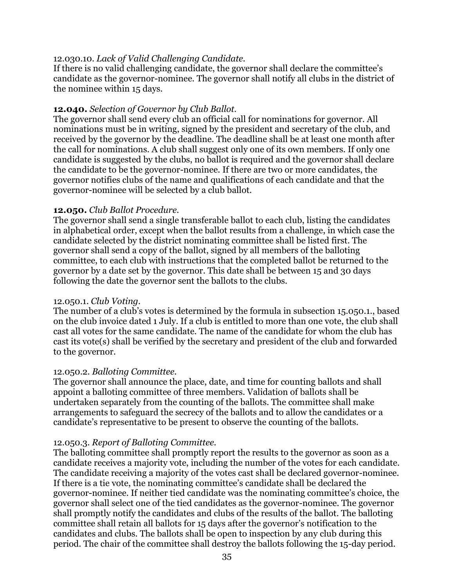### 12.030.10. *Lack of Valid Challenging Candidate.*

If there is no valid challenging candidate, the governor shall declare the committee's candidate as the governor-nominee. The governor shall notify all clubs in the district of the nominee within 15 days.

### **12.040.** *Selection of Governor by Club Ballot.*

The governor shall send every club an official call for nominations for governor. All nominations must be in writing, signed by the president and secretary of the club, and received by the governor by the deadline. The deadline shall be at least one month after the call for nominations. A club shall suggest only one of its own members. If only one candidate is suggested by the clubs, no ballot is required and the governor shall declare the candidate to be the governor-nominee. If there are two or more candidates, the governor notifies clubs of the name and qualifications of each candidate and that the governor-nominee will be selected by a club ballot.

### **12.050.** *Club Ballot Procedure.*

The governor shall send a single transferable ballot to each club, listing the candidates in alphabetical order, except when the ballot results from a challenge, in which case the candidate selected by the district nominating committee shall be listed first. The governor shall send a copy of the ballot, signed by all members of the balloting committee, to each club with instructions that the completed ballot be returned to the governor by a date set by the governor. This date shall be between 15 and 30 days following the date the governor sent the ballots to the clubs.

### 12.050.1. *Club Voting.*

The number of a club's votes is determined by the formula in subsection 15.050.1., based on the club invoice dated 1 July. If a club is entitled to more than one vote, the club shall cast all votes for the same candidate. The name of the candidate for whom the club has cast its vote(s) shall be verified by the secretary and president of the club and forwarded to the governor.

### 12.050.2. *Balloting Committee.*

The governor shall announce the place, date, and time for counting ballots and shall appoint a balloting committee of three members. Validation of ballots shall be undertaken separately from the counting of the ballots. The committee shall make arrangements to safeguard the secrecy of the ballots and to allow the candidates or a candidate's representative to be present to observe the counting of the ballots.

# 12.050.3. *Report of Balloting Committee.*

The balloting committee shall promptly report the results to the governor as soon as a candidate receives a majority vote, including the number of the votes for each candidate. The candidate receiving a majority of the votes cast shall be declared governor-nominee. If there is a tie vote, the nominating committee's candidate shall be declared the governor-nominee. If neither tied candidate was the nominating committee's choice, the governor shall select one of the tied candidates as the governor-nominee. The governor shall promptly notify the candidates and clubs of the results of the ballot. The balloting committee shall retain all ballots for 15 days after the governor's notification to the candidates and clubs. The ballots shall be open to inspection by any club during this period. The chair of the committee shall destroy the ballots following the 15-day period.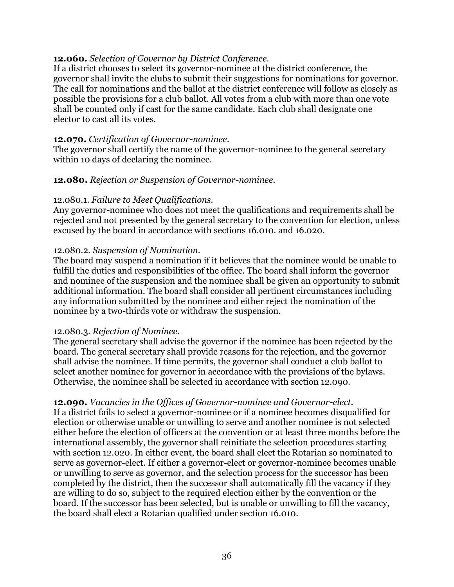#### **12.060.** *Selection of Governor by District Conference.*

If a district chooses to select its governor-nominee at the district conference, the governor shall invite the clubs to submit their suggestions for nominations for governor. The call for nominations and the ballot at the district conference will follow as closely as possible the provisions for a club ballot. All votes from a club with more than one vote shall be counted only if cast for the same candidate. Each club shall designate one elector to cast all its votes.

#### **12.070.** *Certification of Governor-nominee.*

The governor shall certify the name of the governor-nominee to the general secretary within 10 days of declaring the nominee.

#### **12.080.** *Rejection or Suspension of Governor-nominee.*

### 12.080.1. *Failure to Meet Qualifications.*

Any governor-nominee who does not meet the qualifications and requirements shall be rejected and not presented by the general secretary to the convention for election, unless excused by the board in accordance with sections 16.010. and 16.020.

#### 12.080.2. *Suspension of Nomination.*

The board may suspend a nomination if it believes that the nominee would be unable to fulfill the duties and responsibilities of the office. The board shall inform the governor and nominee of the suspension and the nominee shall be given an opportunity to submit additional information. The board shall consider all pertinent circumstances including any information submitted by the nominee and either reject the nomination of the nominee by a two-thirds vote or withdraw the suspension.

#### 12.080.3. *Rejection of Nominee.*

The general secretary shall advise the governor if the nominee has been rejected by the board. The general secretary shall provide reasons for the rejection, and the governor shall advise the nominee. If time permits, the governor shall conduct a club ballot to select another nominee for governor in accordance with the provisions of the bylaws. Otherwise, the nominee shall be selected in accordance with section 12.090.

### **12.090.** *Vacancies in the Offices of Governor-nominee and Governor-elect.*

If a district fails to select a governor-nominee or if a nominee becomes disqualified for election or otherwise unable or unwilling to serve and another nominee is not selected either before the election of officers at the convention or at least three months before the international assembly, the governor shall reinitiate the selection procedures starting with section 12.020. In either event, the board shall elect the Rotarian so nominated to serve as governor-elect. If either a governor-elect or governor-nominee becomes unable or unwilling to serve as governor, and the selection process for the successor has been completed by the district, then the successor shall automatically fill the vacancy if they are willing to do so, subject to the required election either by the convention or the board. If the successor has been selected, but is unable or unwilling to fill the vacancy, the board shall elect a Rotarian qualified under section 16.010.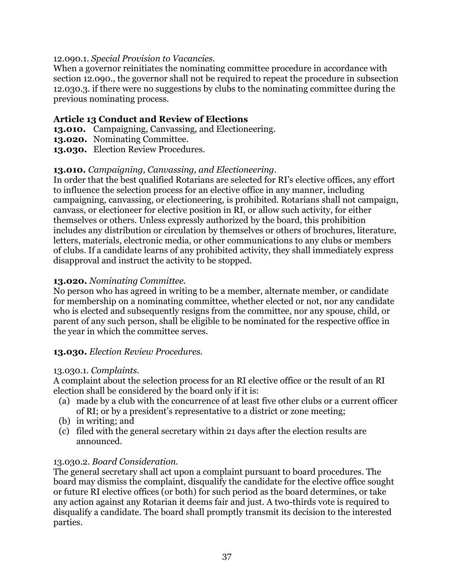### 12.090.1. *Special Provision to Vacancies.*

When a governor reinitiates the nominating committee procedure in accordance with section 12.090., the governor shall not be required to repeat the procedure in subsection 12.030.3. if there were no suggestions by clubs to the nominating committee during the previous nominating process.

# **Article 13 Conduct and Review of Elections**

- **13.010.** Campaigning, Canvassing, and Electioneering.
- **13.020.** Nominating Committee.
- **13.030.** Election Review Procedures.

# **13.010.** *Campaigning, Canvassing, and Electioneering.*

In order that the best qualified Rotarians are selected for RI's elective offices, any effort to influence the selection process for an elective office in any manner, including campaigning, canvassing, or electioneering, is prohibited. Rotarians shall not campaign, canvass, or electioneer for elective position in RI, or allow such activity, for either themselves or others. Unless expressly authorized by the board, this prohibition includes any distribution or circulation by themselves or others of brochures, literature, letters, materials, electronic media, or other communications to any clubs or members of clubs. If a candidate learns of any prohibited activity, they shall immediately express disapproval and instruct the activity to be stopped.

# **13.020.** *Nominating Committee.*

No person who has agreed in writing to be a member, alternate member, or candidate for membership on a nominating committee, whether elected or not, nor any candidate who is elected and subsequently resigns from the committee, nor any spouse, child, or parent of any such person, shall be eligible to be nominated for the respective office in the year in which the committee serves.

### **13.030.** *Election Review Procedures.*

### 13.030.1. *Complaints.*

A complaint about the selection process for an RI elective office or the result of an RI election shall be considered by the board only if it is:

- (a) made by a club with the concurrence of at least five other clubs or a current officer of RI; or by a president's representative to a district or zone meeting;
- (b) in writing; and
- (c) filed with the general secretary within 21 days after the election results are announced.

### 13.030.2. *Board Consideration.*

The general secretary shall act upon a complaint pursuant to board procedures. The board may dismiss the complaint, disqualify the candidate for the elective office sought or future RI elective offices (or both) for such period as the board determines, or take any action against any Rotarian it deems fair and just. A two-thirds vote is required to disqualify a candidate. The board shall promptly transmit its decision to the interested parties.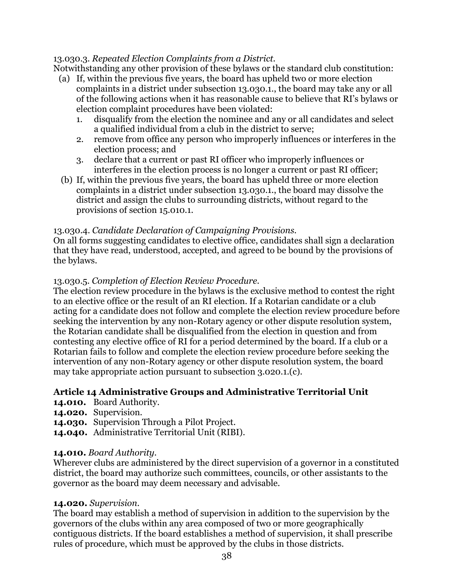# 13.030.3. *Repeated Election Complaints from a District.*

Notwithstanding any other provision of these bylaws or the standard club constitution:

- (a) If, within the previous five years, the board has upheld two or more election complaints in a district under subsection 13.030.1., the board may take any or all of the following actions when it has reasonable cause to believe that RI's bylaws or election complaint procedures have been violated:
	- 1. disqualify from the election the nominee and any or all candidates and select a qualified individual from a club in the district to serve;
	- 2. remove from office any person who improperly influences or interferes in the election process; and
	- 3. declare that a current or past RI officer who improperly influences or interferes in the election process is no longer a current or past RI officer;
- (b) If, within the previous five years, the board has upheld three or more election complaints in a district under subsection 13.030.1., the board may dissolve the district and assign the clubs to surrounding districts, without regard to the provisions of section 15.010.1.

### 13.030.4. *Candidate Declaration of Campaigning Provisions.*

On all forms suggesting candidates to elective office, candidates shall sign a declaration that they have read, understood, accepted, and agreed to be bound by the provisions of the bylaws.

# 13.030.5. *Completion of Election Review Procedure.*

The election review procedure in the bylaws is the exclusive method to contest the right to an elective office or the result of an RI election. If a Rotarian candidate or a club acting for a candidate does not follow and complete the election review procedure before seeking the intervention by any non-Rotary agency or other dispute resolution system, the Rotarian candidate shall be disqualified from the election in question and from contesting any elective office of RI for a period determined by the board. If a club or a Rotarian fails to follow and complete the election review procedure before seeking the intervention of any non-Rotary agency or other dispute resolution system, the board may take appropriate action pursuant to subsection 3.020.1.(c).

# **Article 14 Administrative Groups and Administrative Territorial Unit**

- **14.010.** Board Authority.
- **14.020.** Supervision.
- **14.030.** Supervision Through a Pilot Project.
- **14.040.** Administrative Territorial Unit (RIBI).

### **14.010.** *Board Authority.*

Wherever clubs are administered by the direct supervision of a governor in a constituted district, the board may authorize such committees, councils, or other assistants to the governor as the board may deem necessary and advisable.

### **14.020.** *Supervision.*

The board may establish a method of supervision in addition to the supervision by the governors of the clubs within any area composed of two or more geographically contiguous districts. If the board establishes a method of supervision, it shall prescribe rules of procedure, which must be approved by the clubs in those districts.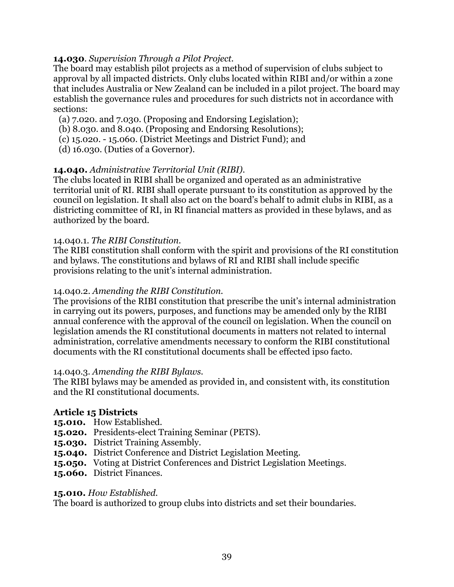# **14.030**. *Supervision Through a Pilot Project.*

The board may establish pilot projects as a method of supervision of clubs subject to approval by all impacted districts. Only clubs located within RIBI and/or within a zone that includes Australia or New Zealand can be included in a pilot project. The board may establish the governance rules and procedures for such districts not in accordance with sections:

- (a) 7.020. and 7.030. (Proposing and Endorsing Legislation);
- (b) 8.030. and 8.040. (Proposing and Endorsing Resolutions);
- (c) 15.020. 15.060. (District Meetings and District Fund); and
- (d) 16.030. (Duties of a Governor).

# **14.040.** *Administrative Territorial Unit (RIBI).*

The clubs located in RIBI shall be organized and operated as an administrative territorial unit of RI. RIBI shall operate pursuant to its constitution as approved by the council on legislation. It shall also act on the board's behalf to admit clubs in RIBI, as a districting committee of RI, in RI financial matters as provided in these bylaws, and as authorized by the board.

### 14.040.1. *The RIBI Constitution.*

The RIBI constitution shall conform with the spirit and provisions of the RI constitution and bylaws. The constitutions and bylaws of RI and RIBI shall include specific provisions relating to the unit's internal administration.

#### 14.040.2. *Amending the RIBI Constitution.*

The provisions of the RIBI constitution that prescribe the unit's internal administration in carrying out its powers, purposes, and functions may be amended only by the RIBI annual conference with the approval of the council on legislation. When the council on legislation amends the RI constitutional documents in matters not related to internal administration, correlative amendments necessary to conform the RIBI constitutional documents with the RI constitutional documents shall be effected ipso facto.

### 14.040.3. *Amending the RIBI Bylaws.*

The RIBI bylaws may be amended as provided in, and consistent with, its constitution and the RI constitutional documents.

### **Article 15 Districts**

- **15.010.** How Established.
- **15.020.** Presidents-elect Training Seminar (PETS).
- **15.030.** District Training Assembly.
- **15.040.** District Conference and District Legislation Meeting.
- **15.050.** Voting at District Conferences and District Legislation Meetings.
- **15.060.** District Finances.

### **15.010.** *How Established.*

The board is authorized to group clubs into districts and set their boundaries.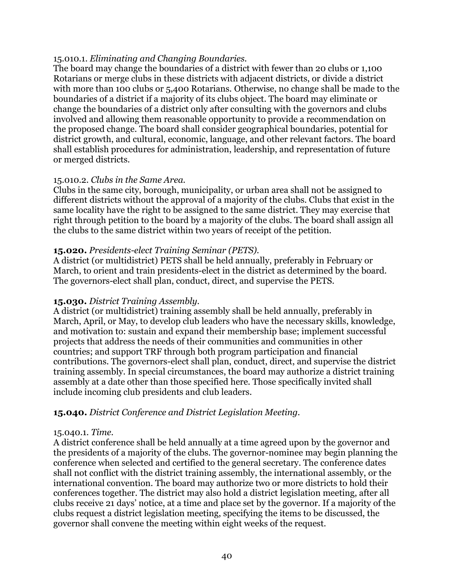### 15.010.1. *Eliminating and Changing Boundaries.*

The board may change the boundaries of a district with fewer than 20 clubs or 1,100 Rotarians or merge clubs in these districts with adjacent districts, or divide a district with more than 100 clubs or 5,400 Rotarians. Otherwise, no change shall be made to the boundaries of a district if a majority of its clubs object. The board may eliminate or change the boundaries of a district only after consulting with the governors and clubs involved and allowing them reasonable opportunity to provide a recommendation on the proposed change. The board shall consider geographical boundaries, potential for district growth, and cultural, economic, language, and other relevant factors. The board shall establish procedures for administration, leadership, and representation of future or merged districts.

### 15.010.2. *Clubs in the Same Area.*

Clubs in the same city, borough, municipality, or urban area shall not be assigned to different districts without the approval of a majority of the clubs. Clubs that exist in the same locality have the right to be assigned to the same district. They may exercise that right through petition to the board by a majority of the clubs. The board shall assign all the clubs to the same district within two years of receipt of the petition.

### **15.020.** *Presidents-elect Training Seminar (PETS).*

A district (or multidistrict) PETS shall be held annually, preferably in February or March, to orient and train presidents-elect in the district as determined by the board. The governors-elect shall plan, conduct, direct, and supervise the PETS.

### **15.030.** *District Training Assembly.*

A district (or multidistrict) training assembly shall be held annually, preferably in March, April, or May, to develop club leaders who have the necessary skills, knowledge, and motivation to: sustain and expand their membership base; implement successful projects that address the needs of their communities and communities in other countries; and support TRF through both program participation and financial contributions. The governors-elect shall plan, conduct, direct, and supervise the district training assembly. In special circumstances, the board may authorize a district training assembly at a date other than those specified here. Those specifically invited shall include incoming club presidents and club leaders.

# **15.040.** *District Conference and District Legislation Meeting.*

### 15.040.1. *Time.*

A district conference shall be held annually at a time agreed upon by the governor and the presidents of a majority of the clubs. The governor-nominee may begin planning the conference when selected and certified to the general secretary. The conference dates shall not conflict with the district training assembly, the international assembly, or the international convention. The board may authorize two or more districts to hold their conferences together. The district may also hold a district legislation meeting, after all clubs receive 21 days' notice, at a time and place set by the governor. If a majority of the clubs request a district legislation meeting, specifying the items to be discussed, the governor shall convene the meeting within eight weeks of the request.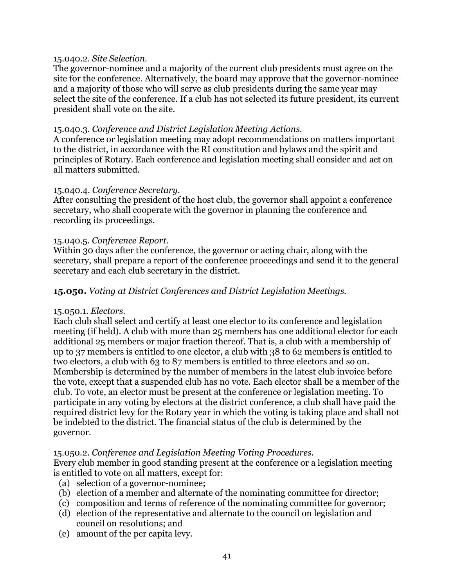#### 15.040.2. *Site Selection.*

The governor-nominee and a majority of the current club presidents must agree on the site for the conference. Alternatively, the board may approve that the governor-nominee and a majority of those who will serve as club presidents during the same year may select the site of the conference. If a club has not selected its future president, its current president shall vote on the site.

#### 15.040.3. *Conference and District Legislation Meeting Actions.*

A conference or legislation meeting may adopt recommendations on matters important to the district, in accordance with the RI constitution and bylaws and the spirit and principles of Rotary. Each conference and legislation meeting shall consider and act on all matters submitted.

#### 15.040.4. *Conference Secretary.*

After consulting the president of the host club, the governor shall appoint a conference secretary, who shall cooperate with the governor in planning the conference and recording its proceedings.

### 15.040.5. *Conference Report.*

Within 30 days after the conference, the governor or acting chair, along with the secretary, shall prepare a report of the conference proceedings and send it to the general secretary and each club secretary in the district.

### **15.050.** *Voting at District Conferences and District Legislation Meetings.*

#### 15.050.1. *Electors.*

Each club shall select and certify at least one elector to its conference and legislation meeting (if held). A club with more than 25 members has one additional elector for each additional 25 members or major fraction thereof. That is, a club with a membership of up to 37 members is entitled to one elector, a club with 38 to 62 members is entitled to two electors, a club with 63 to 87 members is entitled to three electors and so on. Membership is determined by the number of members in the latest club invoice before the vote, except that a suspended club has no vote. Each elector shall be a member of the club. To vote, an elector must be present at the conference or legislation meeting. To participate in any voting by electors at the district conference, a club shall have paid the required district levy for the Rotary year in which the voting is taking place and shall not be indebted to the district. The financial status of the club is determined by the governor.

### 15.050.2. *Conference and Legislation Meeting Voting Procedures.*

Every club member in good standing present at the conference or a legislation meeting is entitled to vote on all matters, except for:

- (a) selection of a governor-nominee;
- (b) election of a member and alternate of the nominating committee for director;
- (c) composition and terms of reference of the nominating committee for governor;
- (d) election of the representative and alternate to the council on legislation and council on resolutions; and
- (e) amount of the per capita levy.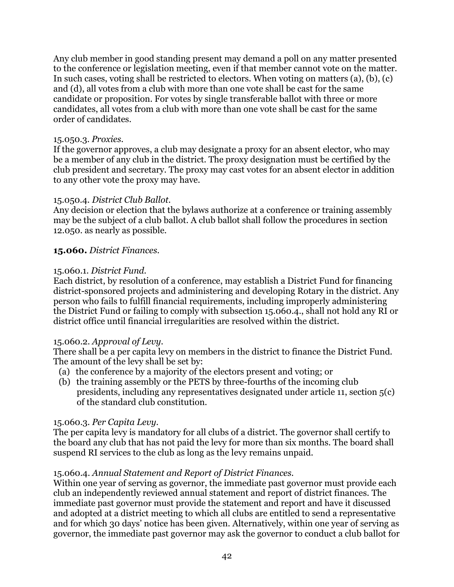Any club member in good standing present may demand a poll on any matter presented to the conference or legislation meeting, even if that member cannot vote on the matter. In such cases, voting shall be restricted to electors. When voting on matters (a), (b), (c) and (d), all votes from a club with more than one vote shall be cast for the same candidate or proposition. For votes by single transferable ballot with three or more candidates, all votes from a club with more than one vote shall be cast for the same order of candidates.

#### 15.050.3. *Proxies.*

If the governor approves, a club may designate a proxy for an absent elector, who may be a member of any club in the district. The proxy designation must be certified by the club president and secretary. The proxy may cast votes for an absent elector in addition to any other vote the proxy may have.

### 15.050.4. *District Club Ballot.*

Any decision or election that the bylaws authorize at a conference or training assembly may be the subject of a club ballot. A club ballot shall follow the procedures in section 12.050. as nearly as possible.

### **15.060.** *District Finances.*

#### 15.060.1. *District Fund.*

Each district, by resolution of a conference, may establish a District Fund for financing district-sponsored projects and administering and developing Rotary in the district. Any person who fails to fulfill financial requirements, including improperly administering the District Fund or failing to comply with subsection 15.060.4., shall not hold any RI or district office until financial irregularities are resolved within the district.

### 15.060.2. *Approval of Levy.*

There shall be a per capita levy on members in the district to finance the District Fund. The amount of the levy shall be set by:

- (a) the conference by a majority of the electors present and voting; or
- (b) the training assembly or the PETS by three-fourths of the incoming club presidents, including any representatives designated under article 11, section 5(c) of the standard club constitution.

### 15.060.3. *Per Capita Levy.*

The per capita levy is mandatory for all clubs of a district. The governor shall certify to the board any club that has not paid the levy for more than six months. The board shall suspend RI services to the club as long as the levy remains unpaid.

### 15.060.4. *Annual Statement and Report of District Finances.*

Within one year of serving as governor, the immediate past governor must provide each club an independently reviewed annual statement and report of district finances. The immediate past governor must provide the statement and report and have it discussed and adopted at a district meeting to which all clubs are entitled to send a representative and for which 30 days' notice has been given. Alternatively, within one year of serving as governor, the immediate past governor may ask the governor to conduct a club ballot for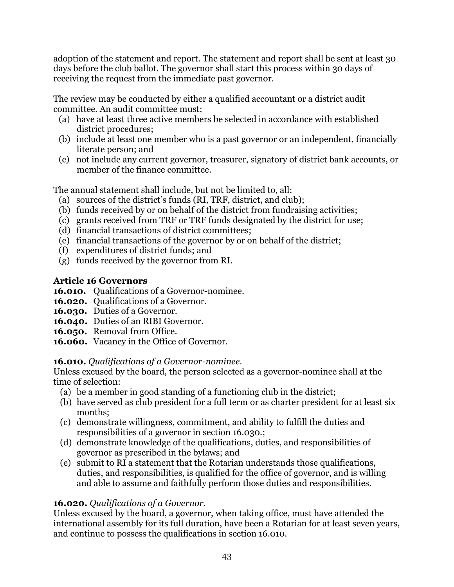adoption of the statement and report. The statement and report shall be sent at least 30 days before the club ballot. The governor shall start this process within 30 days of receiving the request from the immediate past governor.

The review may be conducted by either a qualified accountant or a district audit committee. An audit committee must:

- (a) have at least three active members be selected in accordance with established district procedures;
- (b) include at least one member who is a past governor or an independent, financially literate person; and
- (c) not include any current governor, treasurer, signatory of district bank accounts, or member of the finance committee.

The annual statement shall include, but not be limited to, all:

- (a) sources of the district's funds (RI, TRF, district, and club);
- (b) funds received by or on behalf of the district from fundraising activities;
- (c) grants received from TRF or TRF funds designated by the district for use;
- (d) financial transactions of district committees;
- (e) financial transactions of the governor by or on behalf of the district;
- (f) expenditures of district funds; and
- (g) funds received by the governor from RI.

# **Article 16 Governors**

- **16.010.** Oualifications of a Governor-nominee.
- **16.020.** Qualifications of a Governor.
- **16.030.** Duties of a Governor.
- **16.040.** Duties of an RIBI Governor.
- **16.050.** Removal from Office.
- **16.060.** Vacancy in the Office of Governor.

# **16.010.** *Qualifications of a Governor-nominee.*

Unless excused by the board, the person selected as a governor-nominee shall at the time of selection:

- (a) be a member in good standing of a functioning club in the district;
- (b) have served as club president for a full term or as charter president for at least six months;
- (c) demonstrate willingness, commitment, and ability to fulfill the duties and responsibilities of a governor in section 16.030.;
- (d) demonstrate knowledge of the qualifications, duties, and responsibilities of governor as prescribed in the bylaws; and
- (e) submit to RI a statement that the Rotarian understands those qualifications, duties, and responsibilities, is qualified for the office of governor, and is willing and able to assume and faithfully perform those duties and responsibilities.

# **16.020.** *Qualifications of a Governor.*

Unless excused by the board, a governor, when taking office, must have attended the international assembly for its full duration, have been a Rotarian for at least seven years, and continue to possess the qualifications in section 16.010.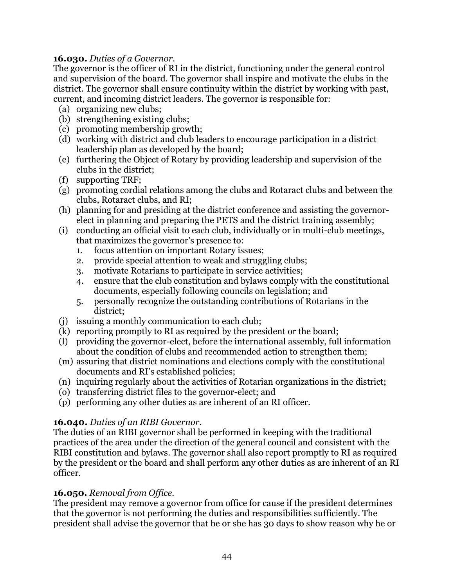# **16.030.** *Duties of a Governor.*

The governor is the officer of RI in the district, functioning under the general control and supervision of the board. The governor shall inspire and motivate the clubs in the district. The governor shall ensure continuity within the district by working with past, current, and incoming district leaders. The governor is responsible for:

- (a) organizing new clubs;
- (b) strengthening existing clubs;
- (c) promoting membership growth;
- (d) working with district and club leaders to encourage participation in a district leadership plan as developed by the board;
- (e) furthering the Object of Rotary by providing leadership and supervision of the clubs in the district;
- (f) supporting TRF;
- (g) promoting cordial relations among the clubs and Rotaract clubs and between the clubs, Rotaract clubs, and RI;
- (h) planning for and presiding at the district conference and assisting the governorelect in planning and preparing the PETS and the district training assembly;
- (i) conducting an official visit to each club, individually or in multi-club meetings, that maximizes the governor's presence to:
	- 1. focus attention on important Rotary issues;
	- 2. provide special attention to weak and struggling clubs;
	- 3. motivate Rotarians to participate in service activities;
	- 4. ensure that the club constitution and bylaws comply with the constitutional documents, especially following councils on legislation; and
	- 5. personally recognize the outstanding contributions of Rotarians in the district;
- (j) issuing a monthly communication to each club;
- (k) reporting promptly to RI as required by the president or the board;
- (l) providing the governor-elect, before the international assembly, full information about the condition of clubs and recommended action to strengthen them;
- (m) assuring that district nominations and elections comply with the constitutional documents and RI's established policies;
- (n) inquiring regularly about the activities of Rotarian organizations in the district;
- (o) transferring district files to the governor-elect; and
- (p) performing any other duties as are inherent of an RI officer.

# **16.040.** *Duties of an RIBI Governor.*

The duties of an RIBI governor shall be performed in keeping with the traditional practices of the area under the direction of the general council and consistent with the RIBI constitution and bylaws. The governor shall also report promptly to RI as required by the president or the board and shall perform any other duties as are inherent of an RI officer.

# **16.050.** *Removal from Office.*

The president may remove a governor from office for cause if the president determines that the governor is not performing the duties and responsibilities sufficiently. The president shall advise the governor that he or she has 30 days to show reason why he or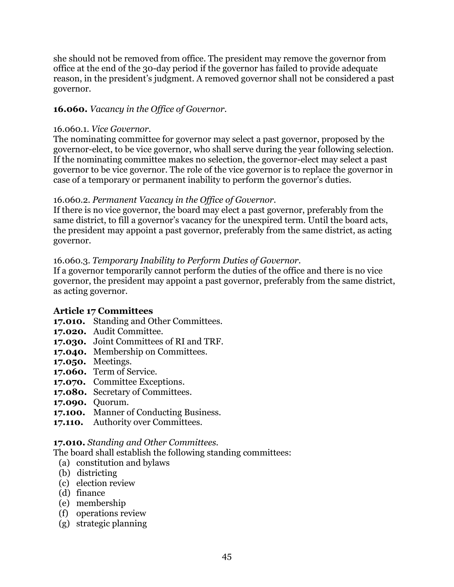she should not be removed from office. The president may remove the governor from office at the end of the 30-day period if the governor has failed to provide adequate reason, in the president's judgment. A removed governor shall not be considered a past governor.

# **16.060.** *Vacancy in the Office of Governor.*

#### 16.060.1. *Vice Governor.*

The nominating committee for governor may select a past governor, proposed by the governor-elect, to be vice governor, who shall serve during the year following selection. If the nominating committee makes no selection, the governor-elect may select a past governor to be vice governor. The role of the vice governor is to replace the governor in case of a temporary or permanent inability to perform the governor's duties.

### 16.060.2. *Permanent Vacancy in the Office of Governor.*

If there is no vice governor, the board may elect a past governor, preferably from the same district, to fill a governor's vacancy for the unexpired term. Until the board acts, the president may appoint a past governor, preferably from the same district, as acting governor.

# 16.060.3. *Temporary Inability to Perform Duties of Governor.*

If a governor temporarily cannot perform the duties of the office and there is no vice governor, the president may appoint a past governor, preferably from the same district, as acting governor.

### **Article 17 Committees**

- **17.010.** Standing and Other Committees.
- **17.020.** Audit Committee.
- **17.030.** Joint Committees of RI and TRF.
- **17.040.** Membership on Committees.
- **17.050.** Meetings.
- **17.060.** Term of Service.
- **17.070.** Committee Exceptions.
- **17.080.** Secretary of Committees.
- **17.090.** Quorum.
- **17.100.** Manner of Conducting Business.
- **17.110.** Authority over Committees.

### **17.010.** *Standing and Other Committees.*

The board shall establish the following standing committees:

- (a) constitution and bylaws
- (b) districting
- (c) election review
- (d) finance
- (e) membership
- (f) operations review
- (g) strategic planning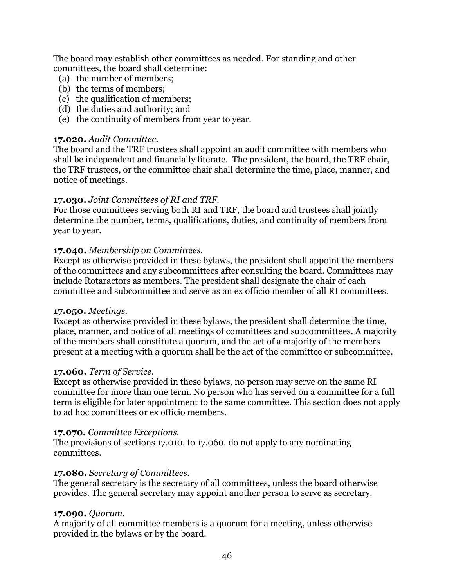The board may establish other committees as needed. For standing and other committees, the board shall determine:

- (a) the number of members;
- (b) the terms of members;
- (c) the qualification of members;
- (d) the duties and authority; and
- (e) the continuity of members from year to year.

### **17.020.** *Audit Committee.*

The board and the TRF trustees shall appoint an audit committee with members who shall be independent and financially literate. The president, the board, the TRF chair, the TRF trustees, or the committee chair shall determine the time, place, manner, and notice of meetings.

# **17.030.** *Joint Committees of RI and TRF.*

For those committees serving both RI and TRF, the board and trustees shall jointly determine the number, terms, qualifications, duties, and continuity of members from year to year.

# **17.040.** *Membership on Committees.*

Except as otherwise provided in these bylaws, the president shall appoint the members of the committees and any subcommittees after consulting the board. Committees may include Rotaractors as members. The president shall designate the chair of each committee and subcommittee and serve as an ex officio member of all RI committees.

### **17.050.** *Meetings.*

Except as otherwise provided in these bylaws, the president shall determine the time, place, manner, and notice of all meetings of committees and subcommittees. A majority of the members shall constitute a quorum, and the act of a majority of the members present at a meeting with a quorum shall be the act of the committee or subcommittee.

### **17.060.** *Term of Service.*

Except as otherwise provided in these bylaws, no person may serve on the same RI committee for more than one term. No person who has served on a committee for a full term is eligible for later appointment to the same committee. This section does not apply to ad hoc committees or ex officio members.

### **17.070.** *Committee Exceptions.*

The provisions of sections 17.010. to 17.060. do not apply to any nominating committees.

### **17.080.** *Secretary of Committees.*

The general secretary is the secretary of all committees, unless the board otherwise provides. The general secretary may appoint another person to serve as secretary.

### **17.090.** *Quorum.*

A majority of all committee members is a quorum for a meeting, unless otherwise provided in the bylaws or by the board.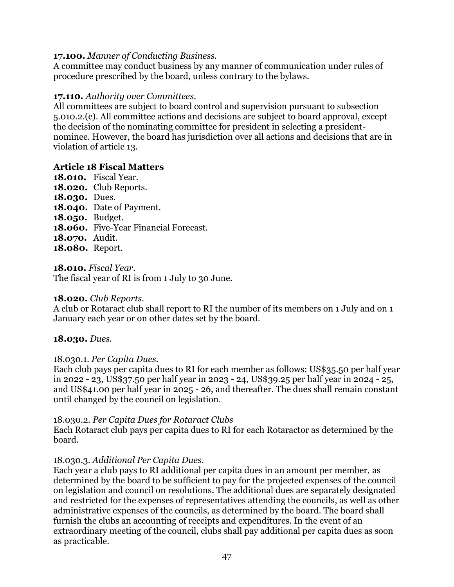### **17.100.** *Manner of Conducting Business.*

A committee may conduct business by any manner of communication under rules of procedure prescribed by the board, unless contrary to the bylaws.

#### **17.110.** *Authority over Committees.*

All committees are subject to board control and supervision pursuant to subsection 5.010.2.(c). All committee actions and decisions are subject to board approval, except the decision of the nominating committee for president in selecting a presidentnominee. However, the board has jurisdiction over all actions and decisions that are in violation of article 13.

#### **Article 18 Fiscal Matters**

- **18.010.** Fiscal Year. **18.020.** Club Reports. **18.030.** Dues. **18.040.** Date of Payment. **18.050.** Budget. **18.060.** Five-Year Financial Forecast.
- **18.070.** Audit.
- **18.080.** Report.

**18.010.** *Fiscal Year.*

The fiscal year of RI is from 1 July to 30 June.

#### **18.020.** *Club Reports.*

A club or Rotaract club shall report to RI the number of its members on 1 July and on 1 January each year or on other dates set by the board.

### **18.030.** *Dues.*

#### 18.030.1. *Per Capita Dues*.

Each club pays per capita dues to RI for each member as follows: US\$35.50 per half year in 2022 - 23, US\$37.50 per half year in 2023 - 24, US\$39.25 per half year in 2024 - 25, and US\$41.00 per half year in 2025 - 26, and thereafter. The dues shall remain constant until changed by the council on legislation.

#### 18.030.2. *Per Capita Dues for Rotaract Clubs*

Each Rotaract club pays per capita dues to RI for each Rotaractor as determined by the board.

### 18.030.3. *Additional Per Capita Dues.*

Each year a club pays to RI additional per capita dues in an amount per member, as determined by the board to be sufficient to pay for the projected expenses of the council on legislation and council on resolutions. The additional dues are separately designated and restricted for the expenses of representatives attending the councils, as well as other administrative expenses of the councils, as determined by the board. The board shall furnish the clubs an accounting of receipts and expenditures. In the event of an extraordinary meeting of the council, clubs shall pay additional per capita dues as soon as practicable.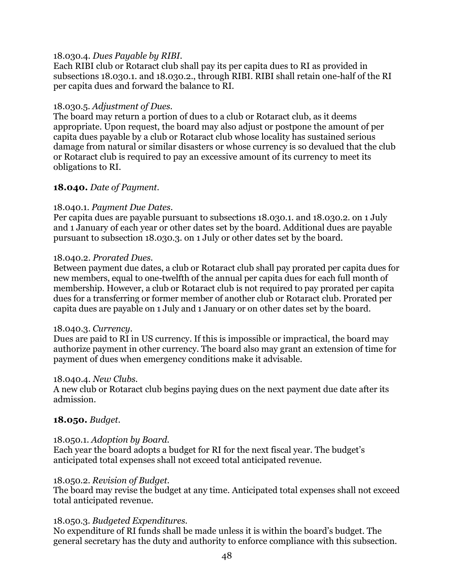#### 18.030.4. *Dues Payable by RIBI.*

Each RIBI club or Rotaract club shall pay its per capita dues to RI as provided in subsections 18.030.1. and 18.030.2., through RIBI. RIBI shall retain one-half of the RI per capita dues and forward the balance to RI.

#### 18.030.5. *Adjustment of Dues.*

The board may return a portion of dues to a club or Rotaract club, as it deems appropriate. Upon request, the board may also adjust or postpone the amount of per capita dues payable by a club or Rotaract club whose locality has sustained serious damage from natural or similar disasters or whose currency is so devalued that the club or Rotaract club is required to pay an excessive amount of its currency to meet its obligations to RI.

### **18.040.** *Date of Payment.*

#### 18.040.1. *Payment Due Dates.*

Per capita dues are payable pursuant to subsections 18.030.1. and 18.030.2. on 1 July and 1 January of each year or other dates set by the board. Additional dues are payable pursuant to subsection 18.030.3. on 1 July or other dates set by the board.

#### 18.040.2. *Prorated Dues.*

Between payment due dates, a club or Rotaract club shall pay prorated per capita dues for new members, equal to one-twelfth of the annual per capita dues for each full month of membership. However, a club or Rotaract club is not required to pay prorated per capita dues for a transferring or former member of another club or Rotaract club. Prorated per capita dues are payable on 1 July and 1 January or on other dates set by the board.

#### 18.040.3. *Currency.*

Dues are paid to RI in US currency. If this is impossible or impractical, the board may authorize payment in other currency. The board also may grant an extension of time for payment of dues when emergency conditions make it advisable.

#### 18.040.4. *New Clubs.*

A new club or Rotaract club begins paying dues on the next payment due date after its admission.

### **18.050.** *Budget.*

#### 18.050.1. *Adoption by Board.*

Each year the board adopts a budget for RI for the next fiscal year. The budget's anticipated total expenses shall not exceed total anticipated revenue.

#### 18.050.2. *Revision of Budget.*

The board may revise the budget at any time. Anticipated total expenses shall not exceed total anticipated revenue.

#### 18.050.3. *Budgeted Expenditures.*

No expenditure of RI funds shall be made unless it is within the board's budget. The general secretary has the duty and authority to enforce compliance with this subsection.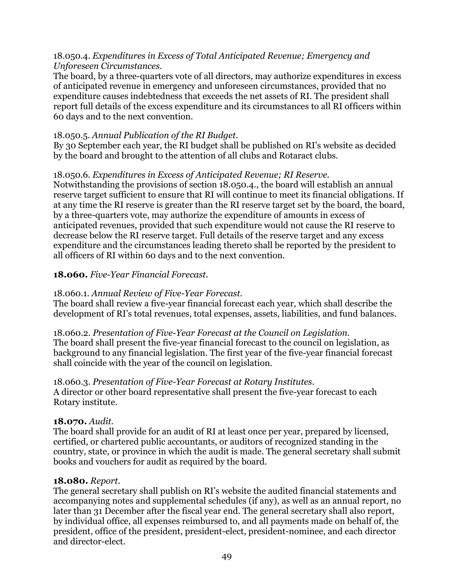### 18.050.4. *Expenditures in Excess of Total Anticipated Revenue; Emergency and Unforeseen Circumstances.*

The board, by a three-quarters vote of all directors, may authorize expenditures in excess of anticipated revenue in emergency and unforeseen circumstances, provided that no expenditure causes indebtedness that exceeds the net assets of RI. The president shall report full details of the excess expenditure and its circumstances to all RI officers within 60 days and to the next convention.

# 18.050.5. *Annual Publication of the RI Budget.*

By 30 September each year, the RI budget shall be published on RI's website as decided by the board and brought to the attention of all clubs and Rotaract clubs.

# 18.050.6. *Expenditures in Excess of Anticipated Revenue; RI Reserve.*

Notwithstanding the provisions of section 18.050.4., the board will establish an annual reserve target sufficient to ensure that RI will continue to meet its financial obligations. If at any time the RI reserve is greater than the RI reserve target set by the board, the board, by a three-quarters vote, may authorize the expenditure of amounts in excess of anticipated revenues, provided that such expenditure would not cause the RI reserve to decrease below the RI reserve target. Full details of the reserve target and any excess expenditure and the circumstances leading thereto shall be reported by the president to all officers of RI within 60 days and to the next convention.

# **18.060.** *Five-Year Financial Forecast.*

# 18.060.1. *Annual Review of Five-Year Forecast.*

The board shall review a five-year financial forecast each year, which shall describe the development of RI's total revenues, total expenses, assets, liabilities, and fund balances.

18.060.2. *Presentation of Five-Year Forecast at the Council on Legislation.* The board shall present the five-year financial forecast to the council on legislation, as background to any financial legislation. The first year of the five-year financial forecast shall coincide with the year of the council on legislation.

### 18.060.3. *Presentation of Five-Year Forecast at Rotary Institutes*.

A director or other board representative shall present the five-year forecast to each Rotary institute.

### **18.070.** *Audit.*

The board shall provide for an audit of RI at least once per year, prepared by licensed, certified, or chartered public accountants, or auditors of recognized standing in the country, state, or province in which the audit is made. The general secretary shall submit books and vouchers for audit as required by the board.

### **18.080.** *Report.*

The general secretary shall publish on RI's website the audited financial statements and accompanying notes and supplemental schedules (if any), as well as an annual report, no later than 31 December after the fiscal year end. The general secretary shall also report, by individual office, all expenses reimbursed to, and all payments made on behalf of, the president, office of the president, president-elect, president-nominee, and each director and director-elect.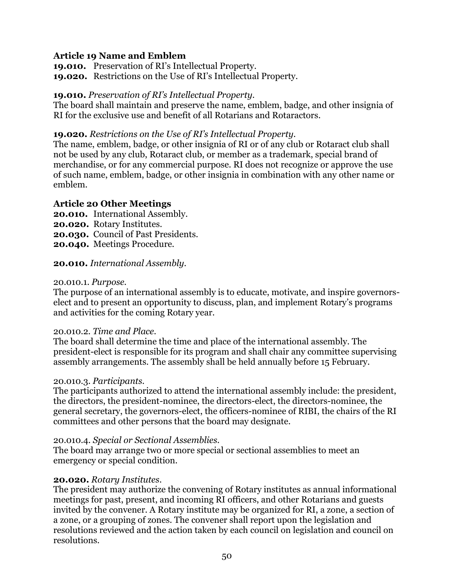# **Article 19 Name and Emblem**

**19.010.** Preservation of RI's Intellectual Property. **19.020.** Restrictions on the Use of RI's Intellectual Property.

# **19.010.** *Preservation of RI's Intellectual Property.*

The board shall maintain and preserve the name, emblem, badge, and other insignia of RI for the exclusive use and benefit of all Rotarians and Rotaractors.

# **19.020.** *Restrictions on the Use of RI's Intellectual Property.*

The name, emblem, badge, or other insignia of RI or of any club or Rotaract club shall not be used by any club, Rotaract club, or member as a trademark, special brand of merchandise, or for any commercial purpose. RI does not recognize or approve the use of such name, emblem, badge, or other insignia in combination with any other name or emblem.

# **Article 20 Other Meetings**

**20.010.** International Assembly. **20.020.** Rotary Institutes. **20.030.** Council of Past Presidents. **20.040.** Meetings Procedure.

# **20.010.** *International Assembly.*

### 20.010.1. *Purpose.*

The purpose of an international assembly is to educate, motivate, and inspire governorselect and to present an opportunity to discuss, plan, and implement Rotary's programs and activities for the coming Rotary year.

### 20.010.2. *Time and Place.*

The board shall determine the time and place of the international assembly. The president-elect is responsible for its program and shall chair any committee supervising assembly arrangements. The assembly shall be held annually before 15 February.

### 20.010.3. *Participants.*

The participants authorized to attend the international assembly include: the president, the directors, the president-nominee, the directors-elect, the directors-nominee, the general secretary, the governors-elect, the officers-nominee of RIBI, the chairs of the RI committees and other persons that the board may designate.

### 20.010.4. *Special or Sectional Assemblies.*

The board may arrange two or more special or sectional assemblies to meet an emergency or special condition.

### **20.020.** *Rotary Institutes*.

The president may authorize the convening of Rotary institutes as annual informational meetings for past, present, and incoming RI officers, and other Rotarians and guests invited by the convener. A Rotary institute may be organized for RI, a zone, a section of a zone, or a grouping of zones. The convener shall report upon the legislation and resolutions reviewed and the action taken by each council on legislation and council on resolutions.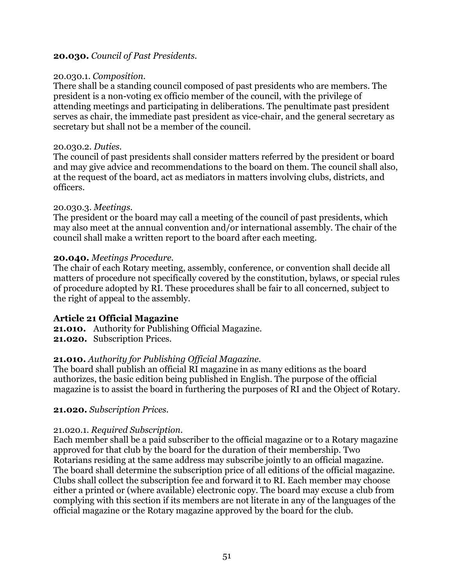#### **20.030.** *Council of Past Presidents.*

#### 20.030.1. *Composition.*

There shall be a standing council composed of past presidents who are members. The president is a non-voting ex officio member of the council, with the privilege of attending meetings and participating in deliberations. The penultimate past president serves as chair, the immediate past president as vice-chair, and the general secretary as secretary but shall not be a member of the council.

#### 20.030.2. *Duties.*

The council of past presidents shall consider matters referred by the president or board and may give advice and recommendations to the board on them. The council shall also, at the request of the board, act as mediators in matters involving clubs, districts, and officers.

### 20.030.3. *Meetings.*

The president or the board may call a meeting of the council of past presidents, which may also meet at the annual convention and/or international assembly. The chair of the council shall make a written report to the board after each meeting.

### **20.040.** *Meetings Procedure.*

The chair of each Rotary meeting, assembly, conference, or convention shall decide all matters of procedure not specifically covered by the constitution, bylaws, or special rules of procedure adopted by RI. These procedures shall be fair to all concerned, subject to the right of appeal to the assembly.

### **Article 21 Official Magazine**

**21.010.** Authority for Publishing Official Magazine. **21.020.** Subscription Prices.

### **21.010.** *Authority for Publishing Official Magazine.*

The board shall publish an official RI magazine in as many editions as the board authorizes, the basic edition being published in English. The purpose of the official magazine is to assist the board in furthering the purposes of RI and the Object of Rotary.

### **21.020.** *Subscription Prices.*

### 21.020.1. *Required Subscription.*

Each member shall be a paid subscriber to the official magazine or to a Rotary magazine approved for that club by the board for the duration of their membership. Two Rotarians residing at the same address may subscribe jointly to an official magazine. The board shall determine the subscription price of all editions of the official magazine. Clubs shall collect the subscription fee and forward it to RI. Each member may choose either a printed or (where available) electronic copy. The board may excuse a club from complying with this section if its members are not literate in any of the languages of the official magazine or the Rotary magazine approved by the board for the club.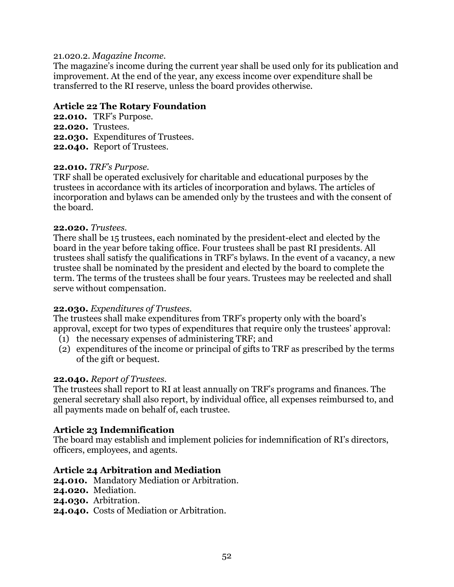#### 21.020.2. *Magazine Income.*

The magazine's income during the current year shall be used only for its publication and improvement. At the end of the year, any excess income over expenditure shall be transferred to the RI reserve, unless the board provides otherwise.

### **Article 22 The Rotary Foundation**

**22.010.** TRF's Purpose. **22.020.** Trustees. **22.030.** Expenditures of Trustees. **22.040.** Report of Trustees.

#### **22.010.** *TRF's Purpose.*

TRF shall be operated exclusively for charitable and educational purposes by the trustees in accordance with its articles of incorporation and bylaws. The articles of incorporation and bylaws can be amended only by the trustees and with the consent of the board.

#### **22.020.** *Trustees.*

There shall be 15 trustees, each nominated by the president-elect and elected by the board in the year before taking office. Four trustees shall be past RI presidents. All trustees shall satisfy the qualifications in TRF's bylaws. In the event of a vacancy, a new trustee shall be nominated by the president and elected by the board to complete the term. The terms of the trustees shall be four years. Trustees may be reelected and shall serve without compensation.

### **22.030.** *Expenditures of Trustees.*

The trustees shall make expenditures from TRF's property only with the board's approval, except for two types of expenditures that require only the trustees' approval:

- (1) the necessary expenses of administering TRF; and
- (2) expenditures of the income or principal of gifts to TRF as prescribed by the terms of the gift or bequest.

#### **22.040.** *Report of Trustees.*

The trustees shall report to RI at least annually on TRF's programs and finances. The general secretary shall also report, by individual office, all expenses reimbursed to, and all payments made on behalf of, each trustee.

### **Article 23 Indemnification**

The board may establish and implement policies for indemnification of RI's directors, officers, employees, and agents.

### **Article 24 Arbitration and Mediation**

**24.010.** Mandatory Mediation or Arbitration.

- **24.020.** Mediation.
- **24.030.** Arbitration.
- **24.040.** Costs of Mediation or Arbitration.